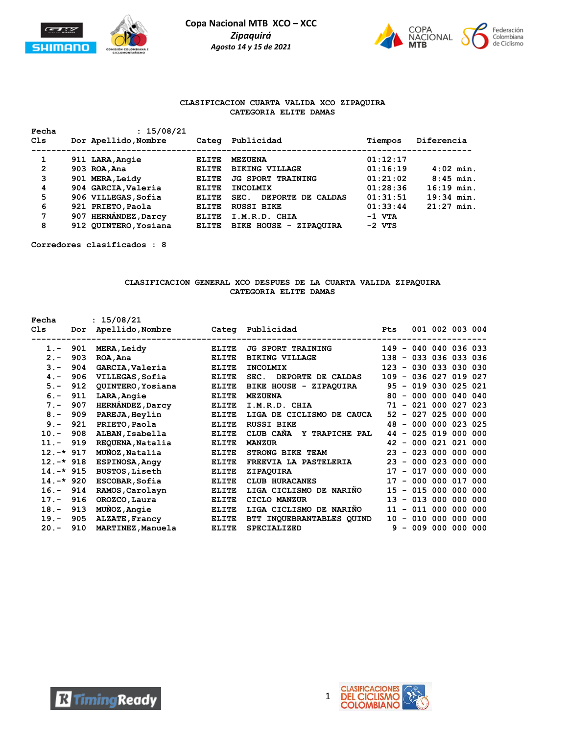



#### **CLASIFICACION CUARTA VALIDA XCO ZIPAQUIRA CATEGORIA ELITE DAMAS**

| Fecha<br>Cls | : 15/08/21<br>Dor Apellido, Nombre | Categ        | Publicidad                | Tiempos  | Diferencia   |
|--------------|------------------------------------|--------------|---------------------------|----------|--------------|
| 1            | 911 LARA, Angie                    | <b>ELITE</b> | <b>MEZUENA</b>            | 01:12:17 |              |
| 2            | 903 ROA, Ana                       | ELITE        | <b>BIKING VILLAGE</b>     | 01:16:19 | $4:02$ min.  |
| 3            | 901 MERA, Leidy                    | ELITE        | <b>JG SPORT TRAINING</b>  | 01:21:02 | $8:45$ min.  |
| 4            | 904 GARCIA, Valeria                | ELITE        | <b>INCOLMIX</b>           | 01:28:36 | $16:19$ min. |
| 5            | 906 VILLEGAS, Sofia                | <b>ELITE</b> | DEPORTE DE CALDAS<br>SEC. | 01:31:51 | $19:34$ min. |
| 6            | 921 PRIETO, Paola                  | ELITE        | <b>RUSSI BIKE</b>         | 01:33:44 | $21:27$ min. |
| 7            | 907 HERNANDEZ, Darcy               | ELITE        | I.M.R.D. CHIA             | $-1$ VTA |              |
| 8            | 912 QUINTERO, Yosiana              | ELITE        | BIKE HOUSE - ZIPAOUIRA    | $-2$ VTS |              |

**Corredores clasificados : 8**

### **CLASIFICACION GENERAL XCO DESPUES DE LA CUARTA VALIDA ZIPAQUIRA CATEGORIA ELITE DAMAS**

| Fecha        |     | : 15/08/21                                 |                                  |                                                            |                       |  |                      |         |  |
|--------------|-----|--------------------------------------------|----------------------------------|------------------------------------------------------------|-----------------------|--|----------------------|---------|--|
| C1s          | Dor | Apellido, Nombre Cateq Publicidad          |                                  |                                                            | <b>Pts</b>            |  | 001 002 003 004      |         |  |
| $1 -$        | 901 | --------------------<br><b>MERA, Leidy</b> | ----------------<br><b>ELITE</b> | ------------------------------<br><b>JG SPORT TRAINING</b> | 149 - 040 040 036 033 |  |                      |         |  |
| $2 -$        | 903 | ROA, Ana                                   | <b>ELITE</b>                     | <b>BIKING VILLAGE</b>                                      | 138 - 033 036 033 036 |  |                      |         |  |
| $3 -$        | 904 | GARCIA, Valeria                            | <b>ELITE</b>                     | <b>INCOLMIX</b>                                            | 123 - 030 033 030 030 |  |                      |         |  |
| $4 -$        | 906 | VILLEGAS, Sofia                            | <b>ELITE</b>                     | DEPORTE DE CALDAS<br>SEC.                                  | 109 - 036 027 019 027 |  |                      |         |  |
| $5. -$       | 912 | QUINTERO, Yosiana                          | <b>ELITE</b>                     | BIKE HOUSE - ZIPAQUIRA                                     |                       |  | 95 - 019 030 025 021 |         |  |
| $6. -$       | 911 | LARA, Angie                                | <b>ELITE</b>                     | <b>MEZUENA</b>                                             | 80                    |  | $-0000000040040$     |         |  |
| $7 -$        | 907 | <b>HERNÁNDEZ, Darcy</b>                    | <b>ELITE</b>                     | I.M.R.D. CHIA                                              |                       |  | 71 - 021 000 027 023 |         |  |
| $8 -$        | 909 | PAREJA, Heylin                             | <b>ELITE</b>                     | LIGA DE CICLISMO DE CAUCA                                  |                       |  | 52 - 027 025 000 000 |         |  |
| $9 -$        | 921 | PRIETO, Paola                              | <b>ELITE</b>                     | <b>RUSSI BIKE</b>                                          |                       |  | 48 - 000 000 023 025 |         |  |
| $10. -$      | 908 | ALBAN, Isabella                            | <b>ELITE</b>                     | CLUB CAÑA Y TRAPICHE PAL                                   |                       |  | 44 - 025 019 000 000 |         |  |
| $11. -$      | 919 | REQUENA, Natalia                           | <b>ELITE</b>                     | <b>MANZUR</b>                                              |                       |  | 42 - 000 021 021 000 |         |  |
| $12. -* 917$ |     | MUÑOZ, Natalia                             | <b>ELITE</b>                     | STRONG BIKE TEAM                                           |                       |  | 23 - 023 000 000 000 |         |  |
| $12.-*918$   |     | <b>ESPINOSA, Angy</b>                      | <b>ELITE</b>                     | FREEVIA LA PASTELERIA                                      |                       |  | 23 - 000 023 000 000 |         |  |
| $14.-*915$   |     | <b>BUSTOS, Liseth</b>                      | <b>ELITE</b>                     | ZIPAQUIRA                                                  | 17 <sub>2</sub>       |  | $-017000000000$      |         |  |
| $14.-*920$   |     | ESCOBAR, Sofia                             | <b>ELITE</b>                     | <b>CLUB HURACANES</b>                                      | 17                    |  | $-000000017000$      |         |  |
| $16. -$      | 914 | RAMOS, Carolayn                            | <b>ELITE</b>                     | LIGA CICLISMO DE NARIÑO                                    | 15 <sub>1</sub>       |  | $-015000000000$      |         |  |
| $17. -$      | 916 | OROZCO, Laura                              | <b>ELITE</b>                     | CICLO MANZUR                                               | 13                    |  | $-013000000000$      |         |  |
| $18. -$      | 913 | MUÑOZ, Angie                               | <b>ELITE</b>                     | LIGA CICLISMO DE NARIÑO                                    | 11                    |  | $-011000$            | 000 000 |  |
| $19. -$      | 905 | ALZATE, Francy                             | <b>ELITE</b>                     | BTT INQUEBRANTABLES QUIND                                  | 10                    |  | $-010000$            | 000 000 |  |
| $20 -$       | 910 | MARTINEZ, Manuela                          | <b>ELITE</b>                     | <b>SPECIALIZED</b>                                         | ۹                     |  | $-009000000000$      |         |  |



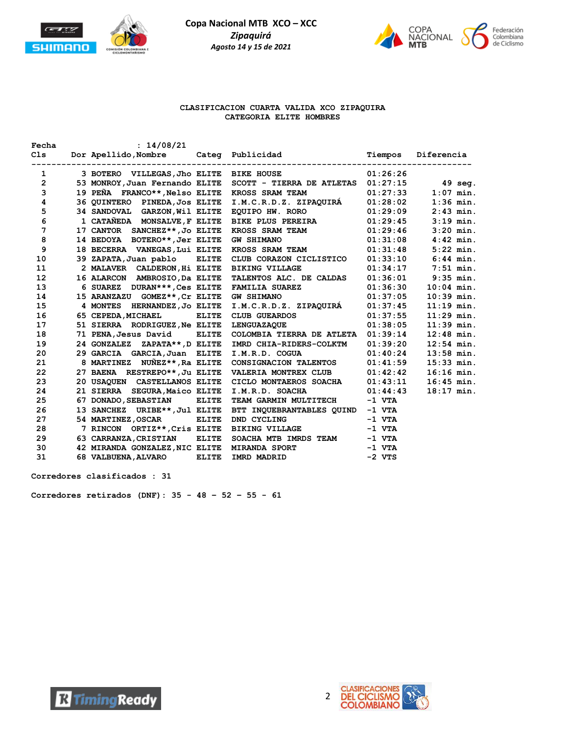



#### **CLASIFICACION CUARTA VALIDA XCO ZIPAQUIRA CATEGORIA ELITE HOMBRES**

| Fecha              | : 14/08/21                     |              |                                                                           |          |              |
|--------------------|--------------------------------|--------------|---------------------------------------------------------------------------|----------|--------------|
|                    |                                |              |                                                                           |          |              |
| 1                  |                                |              | 3 BOTERO VILLEGAS, Jho ELITE BIKE HOUSE                                   | 01:26:26 |              |
| $2 \left  \right $ |                                |              | 53 MONROY, Juan Fernando ELITE SCOTT - TIERRA DE ATLETAS 01:27:15 49 seq. |          |              |
| 3                  | 19 PEÑA FRANCO**, Nelso ELITE  |              | KROSS SRAM TEAM $01:27:33$                                                |          | $1:07$ min.  |
| 4                  | 36 QUINTERO PINEDA, JOS ELITE  |              | I.M.C.R.D.Z. ZIPAQUIRÁ 01:28:02                                           |          | $1:36$ min.  |
| 5                  | 34 SANDOVAL GARZON, Wil ELITE  |              | EQUIPO HW. RORO $01:29:09$<br>BIKE PLUS PEREIRA $01:29:45$                |          | $2:43$ min.  |
| 6                  | 1 CATAÑEDA MONSALVE, F ELITE   |              |                                                                           |          | $3:19$ min.  |
| 7                  | 17 CANTOR SANCHEZ**, Jo ELITE  |              | KROSS SRAM TEAM $01:29:46$                                                |          | $3:20$ min.  |
| 8                  | 14 BEDOYA BOTERO**, Jer ELITE  |              | 01:31:08<br><b>GW SHIMANO</b>                                             |          | $4:42$ min.  |
| 9                  | 18 BECERRA VANEGAS, Lui ELITE  |              | KROSS SRAM TEAM $01:31:48$                                                |          | $5:22$ min.  |
| 10                 | 39 ZAPATA, Juan pablo ELITE    |              | CLUB CORAZON CICLISTICO 01:33:10                                          |          | $6:44$ min.  |
| 11                 | 2 MALAVER CALDERON, Hi ELITE   |              | <b>BIKING VILLAGE</b>                                                     | 01:34:17 | $7:51$ min.  |
| 12                 | 16 ALARCON AMBROSIO, Da ELITE  |              | TALENTOS ALC. DE CALDAS 01:36:01                                          |          | $9:35$ min.  |
| 13                 | 6 SUAREZ DURAN***, Ces ELITE   |              | FAMILIA SUAREZ 01:36:30                                                   |          | $10:04$ min. |
| 14                 | 15 ARANZAZU GOMEZ**, Cr ELITE  |              | <b>GW SHIMANO</b>                                                         | 01:37:05 | $10:39$ min. |
| 15                 | 4 MONTES HERNANDEZ, JO ELITE   |              | I.M.C.R.D.Z. ZIPAQUIRÁ 01:37:45                                           |          | $11:19$ min. |
| 16                 | 65 CEPEDA, MICHAEL ELITE       |              | CLUB GUEARDOS                                                             | 01:37:55 | $11:29$ min. |
| 17                 | 51 SIERRA RODRIGUEZ, Ne ELITE  |              | <b>LENGUAZAOUE</b>                                                        | 01:38:05 | $11:39$ min. |
| 18                 | 71 PENA, Jesus David ELITE     |              | COLOMBIA TIERRA DE ATLETA 01:39:14                                        |          | $12:48$ min. |
| 19                 | 24 GONZALEZ ZAPATA**, D ELITE  |              | IMRD CHIA-RIDERS-COLKTM 01:39:20                                          |          | $12:54$ min. |
| 20                 | 29 GARCIA GARCIA, Juan ELITE   |              | I.M.R.D. COGUA                                                            | 01:40:24 | $13:58$ min. |
| 21                 | 8 MARTINEZ NUÑEZ**,Ra ELITE    |              | CONSIGNACION TALENTOS 01:41:59                                            |          | $15:33$ min. |
| 22                 | 27 BAENA RESTREPO**, Ju ELITE  |              | VALERIA MONTREX CLUB 01:42:42                                             |          | $16:16$ min. |
| 23                 | 20 USAOUEN CASTELLANOS ELITE   |              | $CICLO$ MONTAEROS SOACHA $01:43:11$                                       |          | $16:45$ min. |
| 24                 | 21 SIERRA SEGURA, Maico ELITE  |              | I.M.R.D. SOACHA                                                           | 01:44:43 | $18:17$ min. |
| 25                 | 67 DONADO, SEBASTIAN           | <b>ELITE</b> | TEAM GARMIN MULTITECH                                                     | -1 VTA   |              |
| 26                 | 13 SANCHEZ URIBE**, Jul ELITE  |              | BTT INQUEBRANTABLES QUIND -1 VTA                                          |          |              |
| 27                 | 54 MARTINEZ, OSCAR ELITE       |              | DND CYCLING                                                               | -1 VTA   |              |
| 28                 | 7 RINCON ORTIZ**, Cris ELITE   |              | <b>BIKING VILLAGE</b>                                                     | -1 VTA   |              |
| 29                 | 63 CARRANZA, CRISTIAN ELITE    |              | SOACHA MTB IMRDS TEAM -1 VTA                                              |          |              |
| 30                 | 42 MIRANDA GONZALEZ, NIC ELITE |              | <b>MIRANDA SPORT</b>                                                      | $-1$ VTA |              |
| 31                 | 68 VALBUENA, ALVARO            | <b>ELITE</b> | IMRD MADRID                                                               | $-2$ VTS |              |

**Corredores clasificados : 31**

**Corredores retirados (DNF): 35 - 48 – 52 – 55 - 61**



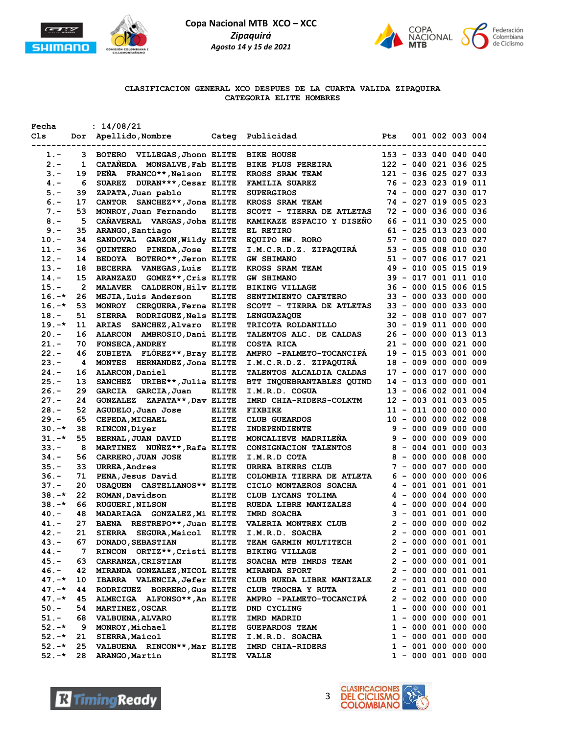



### **CLASIFICACION GENERAL XCO DESPUES DE LA CUARTA VALIDA ZIPAQUIRA CATEGORIA ELITE HOMBRES**

| Fecha    |             | : 14/08/21                               |              |                                                                                                                                                                                                                                      |                        |  |                       |  |
|----------|-------------|------------------------------------------|--------------|--------------------------------------------------------------------------------------------------------------------------------------------------------------------------------------------------------------------------------------|------------------------|--|-----------------------|--|
| Cls      |             |                                          |              |                                                                                                                                                                                                                                      |                        |  | 001 002 003 004       |  |
|          |             | ------------------------------------     |              |                                                                                                                                                                                                                                      |                        |  |                       |  |
| $1. -$   |             |                                          |              | 3 BOTERO VILLEGAS, Jhonn ELITE BIKE HOUSE 153 - 033 040 040 040<br>1 CATAÑEDA MONSALVE, Fab ELITE BIKE PLUS PEREIRA 122 - 040 021 036 025<br>19 PEÑA FRANCO**, Nelson ELITE KROSS SRAM TEAM 121 - 036 025 027 033<br>6 SUAREZ DURAN* |                        |  |                       |  |
| $2 -$    |             |                                          |              |                                                                                                                                                                                                                                      |                        |  |                       |  |
| $3 -$    | 19          |                                          |              |                                                                                                                                                                                                                                      |                        |  |                       |  |
| $4 -$    |             |                                          |              |                                                                                                                                                                                                                                      |                        |  |                       |  |
| $5. -$   | 39          |                                          |              |                                                                                                                                                                                                                                      |                        |  |                       |  |
| $6 -$    | 17          |                                          |              |                                                                                                                                                                                                                                      |                        |  |                       |  |
| $7 -$    | 53          |                                          |              | MONROY, Juan Fernando ELITE SCOTT - TIERRA DE ATLETAS 72 - 000 036 000 036                                                                                                                                                           |                        |  |                       |  |
| $8 -$    | 5           |                                          |              | CAÑAVERAL VARGAS, Joha ELITE KAMIKAZE ESPACIO Y DISEÑO 66 - 011 030 025 000                                                                                                                                                          |                        |  |                       |  |
| $9 -$    | 35          |                                          |              |                                                                                                                                                                                                                                      |                        |  |                       |  |
|          |             |                                          |              |                                                                                                                                                                                                                                      |                        |  |                       |  |
| $10. -$  | 34          |                                          |              | NAMO SANDOVAL GARZON, Wildy ELITE EL RETIRO<br>SANDOVAL GARZON, Wildy ELITE EL RETIRO 61 - 025 013 023 000<br>QUINTERO PINEDA, Jose ELITE I.M.C.R.D.Z. ZIPAQUIRÁ 53 - 005 008 010 030<br>BEDOYA BOTERO**, Jeron ELITE GW SHIMANO 51  |                        |  |                       |  |
| $11. -$  | 36          |                                          |              |                                                                                                                                                                                                                                      |                        |  |                       |  |
| $12. -$  | 14          |                                          |              |                                                                                                                                                                                                                                      |                        |  |                       |  |
| $13.-$   | 18          |                                          |              |                                                                                                                                                                                                                                      |                        |  |                       |  |
| $14. -$  | 15          |                                          |              |                                                                                                                                                                                                                                      |                        |  |                       |  |
| $15. -$  | $2^{\circ}$ |                                          |              |                                                                                                                                                                                                                                      |                        |  |                       |  |
| $16. -*$ | 26          |                                          |              |                                                                                                                                                                                                                                      |                        |  |                       |  |
| $16. -*$ | 53          | MONROY CERQUERA, Ferna ELITE             |              |                                                                                                                                                                                                                                      |                        |  |                       |  |
| $18. -$  | 51          | SIERRA RODRIGUEZ, Nels ELITE             |              |                                                                                                                                                                                                                                      |                        |  |                       |  |
| $19. -*$ | 11          | ARIAS SANCHEZ, Alvaro ELITE              |              |                                                                                                                                                                                                                                      |                        |  |                       |  |
| $20 -$   | 16          | ALARCON AMBROSIO, Dani ELITE             |              | TALENTOS ALC. DE CALDAS                                                                                                                                                                                                              | 26 - 000 000 013 013   |  |                       |  |
| 21.-     | 70          | <b>FONSECA, ANDREY</b>                   |              | FONSECA, ANDREY ELITE COSTA RICA<br>ZUBIETA FLÓREZ**, Bray ELITE AMPRO -PALMETO-TOCANCIPÁ                                                                                                                                            | $21 - 000 000 021 000$ |  |                       |  |
| $22 -$   | 46          |                                          |              |                                                                                                                                                                                                                                      | 19 - 015 003 001 000   |  |                       |  |
| $23 -$   | 4           |                                          |              | MONTES HERNANDEZ, Jona ELITE I.M.C.R.D.Z. ZIPAQUIRÁ                                                                                                                                                                                  | 18 - 009 000 000 009   |  |                       |  |
| $24. -$  | 16          |                                          |              | ALARCON, Daniel ELITE TALENTOS ALCALDIA CALDAS                                                                                                                                                                                       | 17 - 000 017 000 000   |  |                       |  |
| $25. -$  | 13          |                                          |              | SANCHEZ URIBE**, Julia ELITE BTT INQUEBRANTABLES QUIND                                                                                                                                                                               | 14 - 013 000 000 001   |  |                       |  |
| $26. -$  | 29          | GARCIA GARCIA, Juan                      | <b>ELITE</b> | I.M.R.D. COGUA                                                                                                                                                                                                                       | 13 - 006 002 001 004   |  |                       |  |
| $27. -$  | 24          |                                          |              | GONZALEZ ZAPATA**, Dav ELITE IM.K.D. COGOA 13 - 000 002 001 003<br>AGUDELO, Juan Jose ELITE FIXBIKE 11 - 011 000 000 000<br>CEPEDA, MICHAEL ELITE CLUB GUEARDOS 10 - 000 000 000 000<br>RINCON, Diyer ELITE INDEPENDIENTE 9 - 000 00 |                        |  |                       |  |
| $28. -$  | 52          |                                          |              |                                                                                                                                                                                                                                      |                        |  |                       |  |
| $29. -$  | 65          |                                          |              |                                                                                                                                                                                                                                      |                        |  |                       |  |
|          |             |                                          |              |                                                                                                                                                                                                                                      |                        |  |                       |  |
| $30. -*$ | 38          |                                          |              |                                                                                                                                                                                                                                      |                        |  |                       |  |
| $31. -*$ | 55          |                                          |              |                                                                                                                                                                                                                                      |                        |  |                       |  |
| $33 -$   | 8           |                                          |              |                                                                                                                                                                                                                                      |                        |  |                       |  |
| $34. -$  | 56          |                                          |              |                                                                                                                                                                                                                                      |                        |  |                       |  |
| $35. -$  | 33          |                                          |              |                                                                                                                                                                                                                                      |                        |  |                       |  |
| $36. -$  | 71          |                                          |              |                                                                                                                                                                                                                                      |                        |  |                       |  |
| $37 -$   | 20          | USAQUEN CASTELLANOS** ELITE              |              | CICLO MONTAEROS SOACHA 4 - 001 001 001 001                                                                                                                                                                                           |                        |  |                       |  |
| $38. -*$ | 22          | ROMAN, Davidson ELITE                    |              |                                                                                                                                                                                                                                      |                        |  |                       |  |
| $38. -*$ | 66          | <b>RUGUERI, NILSON</b>                   |              | ELITE CLUB LYCANS TOLIMA<br>ELITE RUEDA LIBRE MANIZALES 4 - 000 000 004 000<br>ELITE IMRD SOACHA 3 - 001 001 001 000                                                                                                                 |                        |  |                       |  |
| $40. -$  | 48          | MADARIAGA GONZALEZ, Mi ELITE IMRD SOACHA |              |                                                                                                                                                                                                                                      |                        |  |                       |  |
| $41. -$  | 27          |                                          |              | BAENA RESTREPO**, Juan ELITE VALERIA MONTREX CLUB 2 - 000 000 000 002<br>SIERRA SEGURA, Maicol ELITE I.M.R.D. SOACHA 2 - 000 000 001 001                                                                                             |                        |  |                       |  |
| $42 -$   | 21          |                                          |              |                                                                                                                                                                                                                                      |                        |  |                       |  |
| $43 -$   | 67          | <b>DONADO, SEBASTIAN</b>                 | <b>ELITE</b> | <b>TEAM GARMIN MULTITECH</b>                                                                                                                                                                                                         |                        |  | $2 - 000 000 001 001$ |  |
| $44. -$  | 7           | RINCON ORTIZ**, Cristi ELITE             |              | <b>BIKING VILLAGE</b>                                                                                                                                                                                                                |                        |  | $2 - 001 000 000 001$ |  |
| $45. -$  | 63          | <b>CARRANZA, CRISTIAN</b>                | <b>ELITE</b> | <b>SOACHA MTB IMRDS TEAM</b>                                                                                                                                                                                                         |                        |  | $2 - 000000001001$    |  |
| $46. -$  | 42          | MIRANDA GONZALEZ, NICOL ELITE            |              | <b>MIRANDA SPORT</b>                                                                                                                                                                                                                 |                        |  | $2 - 000000001001$    |  |
| $47. -*$ | 10          | IBARRA VALENCIA, Jefer ELITE             |              | CLUB RUEDA LIBRE MANIZALE                                                                                                                                                                                                            | $2 - 001 001 000 000$  |  |                       |  |
| $47. -*$ | 44          | RODRIGUEZ BORRERO, Gus ELITE             |              | CLUB TROCHA Y RUTA                                                                                                                                                                                                                   |                        |  | $2 - 001 001 000 000$ |  |
| $47. -*$ | 45          | ALMECIGA ALFONSO**, An ELITE             |              | AMPRO -PALMETO-TOCANCIPA                                                                                                                                                                                                             |                        |  | $2 - 002 000 000 000$ |  |
|          | 54          |                                          |              |                                                                                                                                                                                                                                      |                        |  |                       |  |
| $50. -$  |             | <b>MARTINEZ, OSCAR</b>                   | <b>ELITE</b> | DND CYCLING                                                                                                                                                                                                                          |                        |  | $1 - 000 000 000 001$ |  |
| $51. -$  | 68          | <b>VALBUENA, ALVARO</b>                  | <b>ELITE</b> | IMRD MADRID                                                                                                                                                                                                                          |                        |  | $1 - 000 000 000 001$ |  |
| $52 - *$ | 9           | MONROY, Michael                          | <b>ELITE</b> | <b>GUEPARDOS TEAM</b>                                                                                                                                                                                                                |                        |  | $1 - 000001000000$    |  |
| $52 - *$ | 21          | SIERRA, Maicol                           | <b>ELITE</b> | I.M.R.D. SOACHA                                                                                                                                                                                                                      |                        |  | $1 - 000001000000$    |  |
| $52. -*$ | 25          | VALBUENA RINCON**, Mar ELITE             |              | IMRD CHIA-RIDERS                                                                                                                                                                                                                     |                        |  | $1 - 001 000 000 000$ |  |
| $52 - *$ | 28          | ARANGO, Martin                           | <b>ELITE</b> | <b>VALLE</b>                                                                                                                                                                                                                         |                        |  | $1 - 000001000000$    |  |



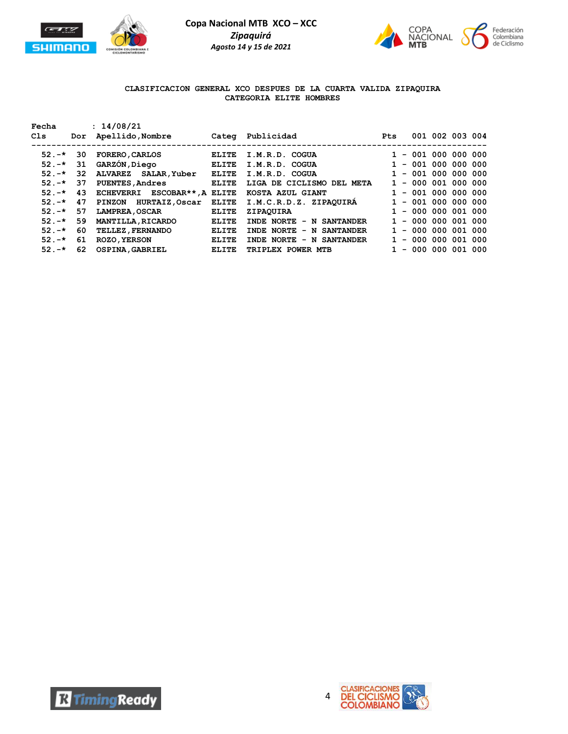



## **CLASIFICACION GENERAL XCO DESPUES DE LA CUARTA VALIDA ZIPAQUIRA CATEGORIA ELITE HOMBRES**

| Fecha<br>Cls |     | : 14/08/21<br>Dor Apellido, Nombre |              | Categ Publicidad                                   | <b>Pts</b> |                       | 001 002 003 004 |  |
|--------------|-----|------------------------------------|--------------|----------------------------------------------------|------------|-----------------------|-----------------|--|
|              |     |                                    |              |                                                    |            |                       |                 |  |
| $52. -* 30$  |     | <b>FORERO , CARLOS</b>             | <b>ELITE</b> | I.M.R.D. COGUA                                     |            | $1 - 001 000 000 000$ |                 |  |
| $52 - *$     | 31  | GARZON, Diego ELITE                |              | I.M.R.D. COGUA                                     |            | $1 - 001 000 000 000$ |                 |  |
| $52 - *$     | 32  | ALVAREZ SALAR, Yuber ELITE         |              | I.M.R.D. COGUA                                     |            | $1 - 001 000 000 000$ |                 |  |
| $52 - +$     | 37  | <b>PUENTES, Andres</b>             | ELITE        | LIGA DE CICLISMO DEL META                          |            | $1 - 000001000000$    |                 |  |
| $52 - *$     | 43  | ECHEVERRI ESCOBAR**, A ELITE       |              | KOSTA AZUL GIANT                                   |            | $-001000000000$       |                 |  |
| $52. -* 47$  |     |                                    |              | PINZON HURTAIZ, Oscar ELITE I.M.C.R.D.Z. ZIPAQUIRA |            | $1 - 001 000 000 000$ |                 |  |
| $52 - *$     | 57  | <b>LAMPREA , OSCAR</b>             | <b>ELITE</b> | ZIPAOUIRA                                          |            | $1 - 000 000 001 000$ |                 |  |
| $52 - *$     | 59  | <b>MANTILLA, RICARDO</b>           | <b>ELITE</b> | INDE NORTE - N SANTANDER                           |            | $1 - 000 000 001 000$ |                 |  |
| $52 - *$     | -60 | <b>TELLEZ, FERNANDO</b>            | <b>ELITE</b> | INDE NORTE - N SANTANDER                           |            | $1 - 000 000 001 000$ |                 |  |
| $52 - *$     | 61  | <b>ROZO, YERSON</b>                | <b>ELITE</b> | INDE NORTE - N SANTANDER                           |            | $1 - 000 000 001 000$ |                 |  |
| $52 - *$     | 62  | <b>OSPINA, GABRIEL</b>             | <b>ELITE</b> | TRIPLEX POWER MTB                                  |            | $-000000001000$       |                 |  |



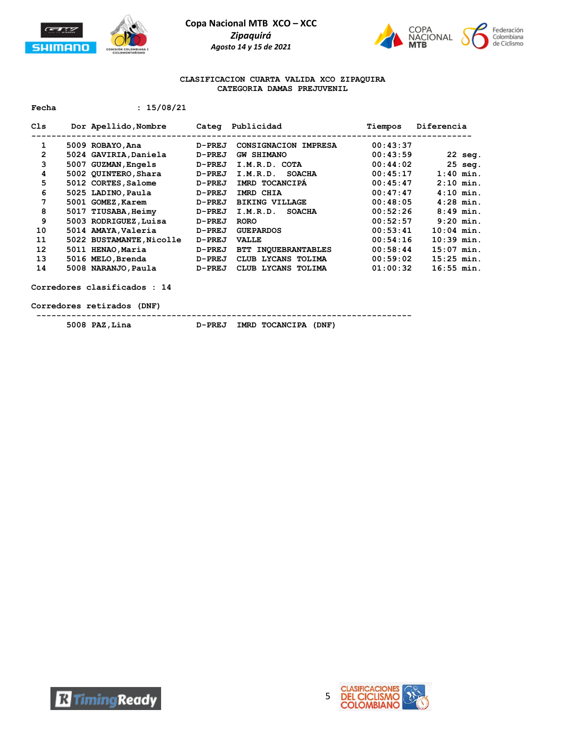



#### **CLASIFICACION CUARTA VALIDA XCO ZIPAQUIRA CATEGORIA DAMAS PREJUVENIL**

**Fecha : 15/08/21**

| Cls            | Dor Apellido, Nombre     | Categ         | Publicidad                    | Tiempos  | Diferencia   |
|----------------|--------------------------|---------------|-------------------------------|----------|--------------|
| 1              | 5009 ROBAYO, Ana         | D-PREJ        | CONSIGNACION IMPRESA          | 00:43:37 |              |
| $\overline{2}$ | 5024 GAVIRIA, Daniela    | D-PREJ        | <b>GW SHIMANO</b>             | 00:43:59 | $22$ seg.    |
| 3              | 5007 GUZMAN, Engels      | D-PREJ        | I.M.R.D. COTA                 | 00:44:02 | $25$ seq.    |
| 4              | 5002 QUINTERO, Shara     | D-PREJ        | <b>SOACHA</b><br>I.M.R.D.     | 00:45:17 | $1:40$ min.  |
| 5              | 5012 CORTES, Salome      | D-PREJ        | IMRD TOCANCIPA                | 00:45:47 | $2:10$ min.  |
| 6              | 5025 LADINO, Paula       | $D-PREJ$      | IMRD CHIA                     | 00:47:47 | $4:10$ min.  |
| 7              | 5001 GOMEZ, Karem        | <b>D-PREJ</b> | <b>BIKING VILLAGE</b>         | 00:48:05 | $4:28$ min.  |
| 8              | 5017 TIUSABA, Heimy      | <b>D-PREJ</b> | I.M.R.D.<br><b>SOACHA</b>     | 00:52:26 | $8:49$ min.  |
| 9              | 5003 RODRIGUEZ, Luisa    | D-PREJ        | <b>RORO</b>                   | 00:52:57 | $9:20$ min.  |
| 10             | 5014 AMAYA, Valeria      | D-PREJ        | <b>GUEPARDOS</b>              | 00:53:41 | $10:04$ min. |
| 11             | 5022 BUSTAMANTE, Nicolle | D-PREJ        | <b>VALLE</b>                  | 00:54:16 | $10:39$ min. |
| 12             | 5011 HENAO, Maria        | D-PREJ        | <b>INOUEBRANTABLES</b><br>BTT | 00:58:44 | $15:07$ min. |
| 13             | 5016 MELO, Brenda        | D-PREJ        | LYCANS TOLIMA<br>CLUB         | 00:59:02 | $15:25$ min. |
| 14             | 5008 NARANJO, Paula      | D-PREJ        | CLUB LYCANS TOLIMA            | 01:00:32 | $16:55$ min. |

**Corredores clasificados : 14**

**Corredores retirados (DNF)**

 **--------------------------------------------------------------------------- 5008 PAZ,Lina D-PREJ IMRD TOCANCIPA (DNF)**



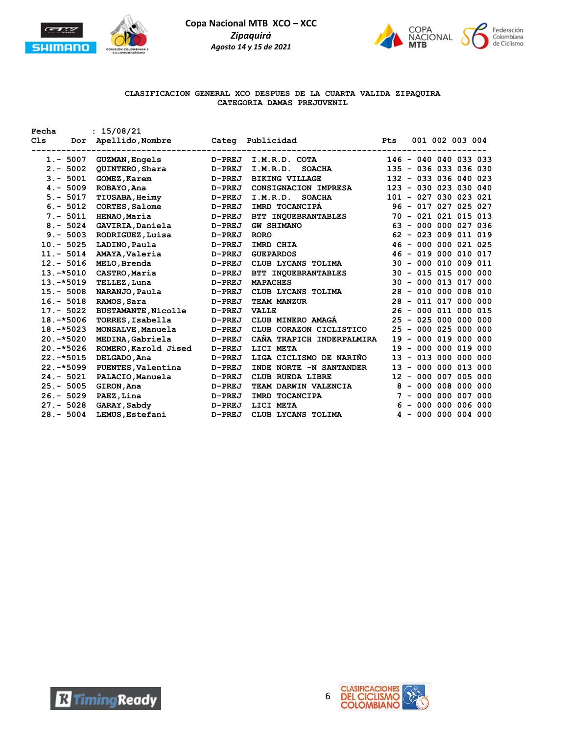



## **CLASIFICACION GENERAL XCO DESPUES DE LA CUARTA VALIDA ZIPAQUIRA CATEGORIA DAMAS PREJUVENIL**

| Fecha          | : 15/08/21                 |               |                           |            |                          |                        |  |
|----------------|----------------------------|---------------|---------------------------|------------|--------------------------|------------------------|--|
| Cls<br>Dor     | Apellido,Nombre            |               | Categ Publicidad          | <b>Pts</b> |                          | 001 002 003 004        |  |
|                |                            |               |                           |            |                          |                        |  |
| $1. - 5007$    | <b>GUZMAN, Engels</b>      | <b>D-PREJ</b> | I.M.R.D. COTA             |            |                          | 146 - 040 040 033 033  |  |
| $2 - 5002$     | <b>QUINTERO, Shara</b>     | D-PREJ        | I.M.R.D.<br><b>SOACHA</b> |            |                          | 135 - 036 033 036 030  |  |
| $3. - 5001$    | <b>GOMEZ, Karem</b>        | D-PREJ        | <b>BIKING VILLAGE</b>     |            |                          | 132 - 033 036 040 023  |  |
| $4. - 5009$    | ROBAYO, Ana                | <b>D-PREJ</b> | CONSIGNACION IMPRESA      |            |                          | 123 - 030 023 030 040  |  |
| $5. - 5017$    | <b>TIUSABA, Heimy</b>      | <b>D-PREJ</b> | I.M.R.D.<br><b>SOACHA</b> |            |                          | 101 - 027 030 023 021  |  |
| $6. - 5012$    | CORTES, Salome             | D-PREJ        | IMRD TOCANCIPA            |            |                          | 96 - 017 027 025 027   |  |
| $7. - 5011$    | HENAO, Maria               | <b>D-PREJ</b> | BTT INQUEBRANTABLES       |            |                          | 70 - 021 021 015 013   |  |
| $8 - 5024$     | GAVIRIA, Daniela           | D-PREJ        | <b>GW SHIMANO</b>         |            |                          | 63 - 000 000 027 036   |  |
| $9 - 5003$     | RODRIGUEZ, Luisa           | D-PREJ        | <b>RORO</b>               |            |                          | $62 - 023 009 011 019$ |  |
| $10.-5025$     | LADINO, Paula              | D-PREJ        | IMRD CHIA                 |            |                          | 46 - 000 000 021 025   |  |
| $11. - 5014$   | AMAYA, Valeria             | D-PREJ        | <b>GUEPARDOS</b>          |            |                          | 46 - 019 000 010 017   |  |
| $12 - 5016$    | MELO, Brenda               | D-PREJ        | CLUB LYCANS TOLIMA        |            |                          | 30 - 000 010 009 011   |  |
| $13.-*5010$    | CASTRO, Maria              | <b>D-PREJ</b> | BTT INQUEBRANTABLES       |            |                          | 30 - 015 015 000 000   |  |
| $13.-*5019$    | TELLEZ, Luna               | <b>D-PREJ</b> | <b>MAPACHES</b>           |            |                          | 30 - 000 013 017 000   |  |
| $15. - 5008$   | NARANJO, Paula             | <b>D-PREJ</b> | CLUB LYCANS TOLIMA        |            |                          | 28 - 010 000 008 010   |  |
| $16. - 5018$   | RAMOS, Sara                | D-PREJ        | TEAM MANZUR               |            |                          | 28 - 011 017 000 000   |  |
| $17. - 5022$   | <b>BUSTAMANTE, Nicolle</b> | <b>D-PREJ</b> | <b>VALLE</b>              |            |                          | 26 - 000 011 000 015   |  |
| $18.-*5006$    | TORRES, Isabella           | <b>D-PREJ</b> | CLUB MINERO AMAGA         |            |                          | 25 - 025 000 000 000   |  |
| $18. - * 5023$ | MONSALVE, Manuela          | <b>D-PREJ</b> | CLUB CORAZON CICLISTICO   |            |                          | 25 - 000 025 000 000   |  |
| $20.-*5020$    | MEDINA, Gabriela           | <b>D-PREJ</b> | CANA TRAPICH INDERPALMIRA |            |                          | 19 - 000 019 000 000   |  |
| $20. -*5026$   | ROMERO, Karold Jised       | D-PREJ        | LICI META                 | 19         | $\overline{\phantom{a}}$ | 000 000 019 000        |  |
| $22. - * 5015$ | DELGADO, Ana               | D-PREJ        | LIGA CICLISMO DE NARIÑO   | 13         |                          | $-013000000000$        |  |
| $22. - *5099$  | PUENTES, Valentina         | D-PREJ        | INDE NORTE -N SANTANDER   |            |                          | 13 - 000 000 013 000   |  |
| $24 - 5021$    | PALACIO, Manuela           | <b>D-PREJ</b> | CLUB RUEDA LIBRE          |            |                          | 12 - 000 007 005 000   |  |
| $25. - 5005$   | GIRON, Ana                 | <b>D-PREJ</b> | TEAM DARWIN VALENCIA      |            |                          | $8 - 000 008 000 000$  |  |
| $26. - 5029$   | PAEZ, Lina                 | D-PREJ        | IMRD TOCANCIPA            | 7          |                          | $-000000007000$        |  |
| $27. - 5028$   | GARAY, Sabdy               | D-PREJ        | LICI META                 |            |                          | $6 - 000 000 006 000$  |  |
| $28 - 5004$    | LEMUS, Estefani            | D-PREJ        | CLUB LYCANS TOLIMA        |            |                          | $4 - 000000004000$     |  |
|                |                            |               |                           |            |                          |                        |  |



**R** Timing Ready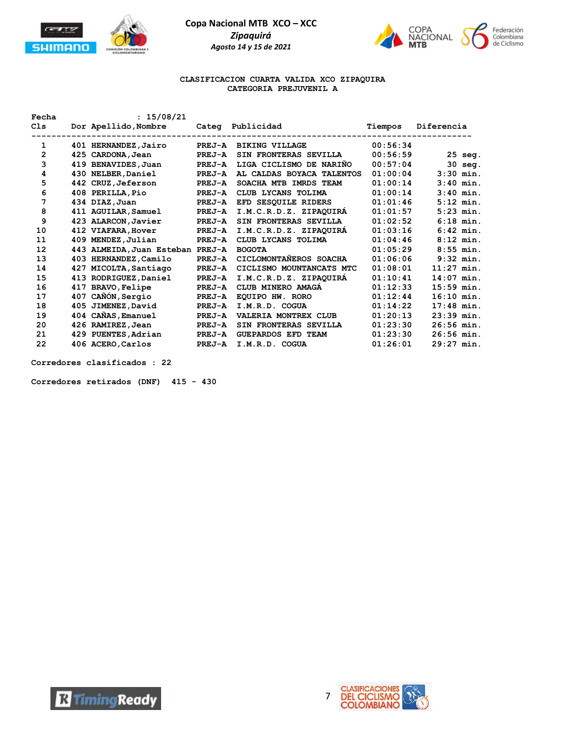



#### **CLASIFICACION CUARTA VALIDA XCO ZIPAQUIRA CATEGORIA PREJUVENIL A**

| Fecha          |     | : 15/08/21                |               |                           |          |              |
|----------------|-----|---------------------------|---------------|---------------------------|----------|--------------|
| C1s            |     | Dor Apellido, Nombre      | Categ         | Publicidad                | Tiempos  | Diferencia   |
| 1              |     | 401 HERNANDEZ, Jairo      | <b>PREJ-A</b> | <b>BIKING VILLAGE</b>     | 00:56:34 |              |
| $\overline{2}$ |     |                           | <b>PREJ-A</b> | SIN FRONTERAS SEVILLA     | 00:56:59 |              |
|                |     | 425 CARDONA, Jean         |               |                           |          | 25 seg.      |
| 3              |     | 419 BENAVIDES, Juan       | PREJ-A        | LIGA CICLISMO DE NARIÑO   | 00:57:04 | 30 seg.      |
| 4              |     | 430 NELBER, Daniel        | PREJ-A        | AL CALDAS BOYACA TALENTOS | 01:00:04 | $3:30$ min.  |
| 5              |     | 442 CRUZ, Jeferson        | <b>PREJ-A</b> | SOACHA MTB IMRDS TEAM     | 01:00:14 | $3:40$ min.  |
| 6              |     | 408 PERILLA, Pio          | PREJ-A        | CLUB LYCANS TOLIMA        | 01:00:14 | $3:40$ min.  |
| 7              |     | 434 DIAZ, Juan            | PREJ-A        | EFD SESQUILE RIDERS       | 01:01:46 | $5:12$ min.  |
| 8              |     | 411 AGUILAR, Samuel       | PREJ-A        | I.M.C.R.D.Z. ZIPAQUIRA    | 01:01:57 | $5:23$ min.  |
| 9              |     | 423 ALARCON, Javier       | PREJ-A        | SIN FRONTERAS SEVILLA     | 01:02:52 | $6:18$ min.  |
| 10             |     | 412 VIAFARA, Hover        | PREJ-A        | I.M.C.R.D.Z. ZIPAQUIRA    | 01:03:16 | $6:42$ min.  |
| 11             |     | 409 MENDEZ, Julian        | PREJ-A        | CLUB LYCANS TOLIMA        | 01:04:46 | $8:12$ min.  |
| 12             |     | 443 ALMEIDA, Juan Esteban | PREJ-A        | <b>BOGOTA</b>             | 01:05:29 | $8:55$ min.  |
| 13             |     | 403 HERNANDEZ, Camilo     | PREJ-A        | CICLOMONTAÑEROS SOACHA    | 01:06:06 | $9:32$ min.  |
| 14             |     | 427 MICOLTA, Santiago     | PREJ-A        | CICLISMO MOUNTANCATS MTC  | 01:08:01 | $11:27$ min. |
| 15             |     | 413 RODRIGUEZ, Daniel     | PREJ-A        | I.M.C.R.D.Z. ZIPAOUIRA    | 01:10:41 | $14:07$ min. |
| 16             | 417 | <b>BRAVO, Felipe</b>      | PREJ-A        | CLUB MINERO AMAGA         | 01:12:33 | $15:59$ min. |
| 17             | 407 | CAÑÓN, Sergio             | <b>PREJ-A</b> | EOUIPO HW. RORO           | 01:12:44 | $16:10$ min. |
| 18             | 405 | JIMENEZ, David            | PREJ-A        | I.M.R.D. COGUA            | 01:14:22 | $17:48$ min. |
| 19             |     | 404 CAÑAS, Emanuel        | PREJ-A        | VALERIA MONTREX CLUB      | 01:20:13 | $23:39$ min. |
| 20             |     | 426 RAMIREZ, Jean         | PREJ-A        | SIN FRONTERAS SEVILLA     | 01:23:30 | $26:56$ min. |
| 21             |     | 429 PUENTES, Adrian       | <b>PREJ-A</b> | <b>GUEPARDOS EFD TEAM</b> | 01:23:30 | $26:56$ min. |
| 22             |     | 406 ACERO, Carlos         | PREJ-A        | I.M.R.D. COGUA            | 01:26:01 | $29:27$ min. |
|                |     |                           |               |                           |          |              |

**Corredores clasificados : 22**

**Corredores retirados (DNF) 415 - 430**



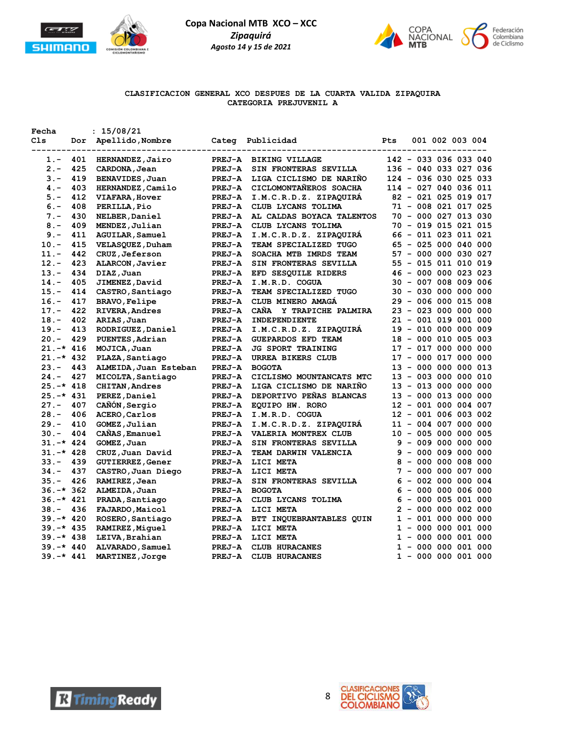



# **CLASIFICACION GENERAL XCO DESPUES DE LA CUARTA VALIDA ZIPAQUIRA CATEGORIA PREJUVENIL A**

| Fecha        |     | : 15/08/21              |               |                           |              |        |  |                       |  |
|--------------|-----|-------------------------|---------------|---------------------------|--------------|--------|--|-----------------------|--|
| C1s          | Dor | Apellido, Nombre        | Categ         | Publicidad                | Pts          |        |  | 001 002 003 004       |  |
| 1.-          | 401 | HERNANDEZ, Jairo        | <b>PREJ-A</b> | <b>BIKING VILLAGE</b>     |              |        |  | 142 - 033 036 033 040 |  |
| $2 -$        | 425 | CARDONA, Jean           | <b>PREJ-A</b> | SIN FRONTERAS SEVILLA     |              |        |  | 136 - 040 033 027 036 |  |
| $3 -$        | 419 | BENAVIDES, Juan         | <b>PREJ-A</b> | LIGA CICLISMO DE NARINO   |              |        |  | 124 - 036 030 025 033 |  |
| $4. -$       | 403 | HERNANDEZ, Camilo       | <b>PREJ-A</b> | CICLOMONTANEROS SOACHA    |              |        |  | 114 - 027 040 036 011 |  |
| $5. -$       | 412 | <b>VIAFARA, Hover</b>   | <b>PREJ-A</b> | I.M.C.R.D.Z. ZIPAQUIRA    |              |        |  | 82 - 021 025 019 017  |  |
| $6 -$        | 408 | PERILLA, Pio            | <b>PREJ-A</b> | CLUB LYCANS TOLIMA        |              |        |  | 71 - 008 021 017 025  |  |
| $7 -$        | 430 | NELBER, Daniel          | <b>PREJ-A</b> | AL CALDAS BOYACA TALENTOS |              |        |  | 70 - 000 027 013 030  |  |
| $8 -$        | 409 | MENDEZ, Julian          | <b>PREJ-A</b> | CLUB LYCANS TOLIMA        |              |        |  | 70 - 019 015 021 015  |  |
| $9. -$       | 411 | AGUILAR, Samuel         | <b>PREJ-A</b> | I.M.C.R.D.Z. ZIPAQUIRA    |              |        |  | 66 - 011 023 011 021  |  |
| $10. -$      | 415 | VELASQUEZ, Duham        | <b>PREJ-A</b> | TEAM SPECIALIZED TUGO     |              |        |  | 65 - 025 000 040 000  |  |
| $11. -$      | 442 | CRUZ, Jeferson          | <b>PREJ-A</b> | SOACHA MTB IMRDS TEAM     |              |        |  | 57 - 000 000 030 027  |  |
| $12 -$       | 423 | ALARCON, Javier         | PREJ-A        | SIN FRONTERAS SEVILLA     |              |        |  | 55 - 015 011 010 019  |  |
| $13. -$      | 434 | DIAZ, Juan              | <b>PREJ-A</b> | EFD SESQUILE RIDERS       |              |        |  | 46 - 000 000 023 023  |  |
| $14. -$      | 405 | JIMENEZ, David          | <b>PREJ-A</b> | I.M.R.D. COGUA            |              |        |  | 30 - 007 008 009 006  |  |
| $15. -$      | 414 | CASTRO, Santiago        | PREJ-A        | TEAM SPECIALIZED TUGO     |              |        |  | 30 - 030 000 000 000  |  |
| $16. -$      | 417 | <b>BRAVO, Felipe</b>    | <b>PREJ-A</b> | CLUB MINERO AMAGA         |              |        |  | 29 - 006 000 015 008  |  |
| $17. -$      | 422 | <b>RIVERA, Andres</b>   | <b>PREJ-A</b> | CAÑA Y TRAPICHE PALMIRA   |              |        |  | 23 - 023 000 000 000  |  |
| $18. -$      | 402 | ARIAS, Juan             | <b>PREJ-A</b> | INDEPENDIENTE             |              |        |  | 21 - 001 019 001 000  |  |
| $19. -$      | 413 | RODRIGUEZ, Daniel       | <b>PREJ-A</b> | I.M.C.R.D.Z. ZIPAQUIRA    | 19           |        |  | $-010000000009$       |  |
| $20 -$       | 429 | PUENTES, Adrian         | <b>PREJ-A</b> | <b>GUEPARDOS EFD TEAM</b> |              |        |  | 18 - 000 010 005 003  |  |
| $21. -* 416$ |     | MOJICA, Juan            | <b>PREJ-A</b> | <b>JG SPORT TRAINING</b>  |              |        |  | 17 - 017 000 000 000  |  |
| $21. -* 432$ |     | PLAZA, Santiago         | <b>PREJ-A</b> | URREA BIKERS CLUB         |              |        |  | 17 - 000 017 000 000  |  |
| $23 -$       | 443 | ALMEIDA, Juan Esteban   | PREJ-A        | <b>BOGOTA</b>             |              |        |  | 13 - 000 000 000 013  |  |
| $24. -$      | 427 | MICOLTA, Santiago       | <b>PREJ-A</b> | CICLISMO MOUNTANCATS MTC  | 13           |        |  | $-003000000010$       |  |
| $25. -* 418$ |     | <b>CHITAN, Andres</b>   | <b>PREJ-A</b> | LIGA CICLISMO DE NARINO   |              |        |  | 13 - 013 000 000 000  |  |
| $25. -* 431$ |     | PEREZ, Daniel           | <b>PREJ-A</b> | DEPORTIVO PEÑAS BLANCAS   |              |        |  | 13 - 000 013 000 000  |  |
| $27. -$      | 407 | CAÑÓN, Sergio           | <b>PREJ-A</b> | EQUIPO HW. RORO           |              |        |  | 12 - 001 000 004 007  |  |
| $28. -$      | 406 | ACERO, Carlos           | PREJ-A        | I.M.R.D. COGUA            |              |        |  | 12 - 001 006 003 002  |  |
| $29. -$      | 410 | GOMEZ, Julian           | <b>PREJ-A</b> | I.M.C.R.D.Z. ZIPAQUIRA    |              |        |  | 11 - 004 007 000 000  |  |
| $30 -$       | 404 | CAÑAS, Emanuel          | <b>PREJ-A</b> | VALERIA MONTREX CLUB      |              |        |  | 10 - 005 000 000 005  |  |
| $31. -* 424$ |     | GOMEZ, Juan             | <b>PREJ-A</b> | SIN FRONTERAS SEVILLA     |              |        |  | $9 - 009 000 000 000$ |  |
| $31. -* 428$ |     | CRUZ, Juan David        | <b>PREJ-A</b> | TEAM DARWIN VALENCIA      | 9            |        |  | - 000 009 000 000     |  |
| $33 -$       | 439 | <b>GUTIERREZ, Gener</b> | <b>PREJ-A</b> | LICI META                 |              |        |  | $8 - 000 000 008 000$ |  |
| $34. -$      | 437 | CASTRO, Juan Diego      | <b>PREJ-A</b> | LICI META                 |              |        |  | 7 - 000 000 007 000   |  |
| $35. -$      | 426 | RAMIREZ, Jean           | <b>PREJ-A</b> | SIN FRONTERAS SEVILLA     | 6            |        |  | $-002000000004$       |  |
| $36. -* 362$ |     | ALMEIDA, Juan           | <b>PREJ-A</b> | <b>BOGOTA</b>             | 6            | $\sim$ |  | 000 000 006 000       |  |
| $36. -* 421$ |     | PRADA, Santiago         | <b>PREJ-A</b> | CLUB LYCANS TOLIMA        | 6            | $\sim$ |  | 000 005 001 000       |  |
| $38. -$      | 436 | FAJARDO, Maicol         | <b>PREJ-A</b> | LICI META                 |              |        |  | $2 - 000000002000$    |  |
| $39. -* 420$ |     | ROSERO, Santiago        | <b>PREJ-A</b> | BTT INQUEBRANTABLES QUIN  | $\mathbf{1}$ |        |  | $-001000000000$       |  |
| $39. -* 435$ |     | RAMIREZ, Miguel         | <b>PREJ-A</b> | LICI META                 |              | $1 -$  |  | 000 000 001 000       |  |
| $39. -* 438$ |     | LEIVA, Brahian          | <b>PREJ-A</b> | LICI META                 |              |        |  | $1 - 000 000 001 000$ |  |
| $39. -* 440$ |     | ALVARADO, Samuel        | <b>PREJ-A</b> | <b>CLUB HURACANES</b>     | $\mathbf{1}$ |        |  | $-000000001000$       |  |
| $39. -* 441$ |     | MARTINEZ, Jorge         | <b>PREJ-A</b> | <b>CLUB HURACANES</b>     |              |        |  | $1 - 000 000 001 000$ |  |



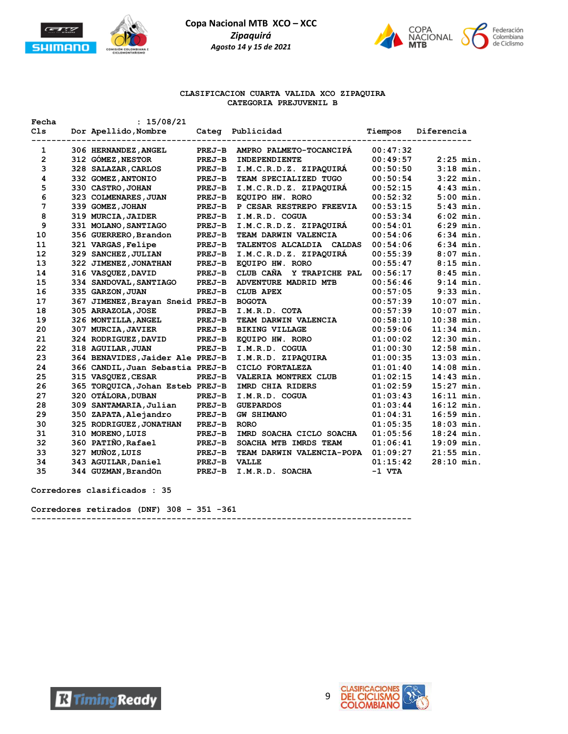



#### **CLASIFICACION CUARTA VALIDA XCO ZIPAQUIRA CATEGORIA PREJUVENIL B**

| Fecha           | : 15/08/21                       |               |                             |          |              |
|-----------------|----------------------------------|---------------|-----------------------------|----------|--------------|
| C <sub>1s</sub> | Dor Apellido, Nombre             | Categ         | Publicidad                  | Tiempos  | Diferencia   |
| 1               | 306 HERNANDEZ, ANGEL             | PREJ-B        | AMPRO PALMETO-TOCANCIPA     | 00:47:32 |              |
| $\mathbf{2}$    | 312 GÓMEZ, NESTOR                | PREJ-B        | INDEPENDIENTE               | 00:49:57 | $2:25$ min.  |
| 3               | 328 SALAZAR, CARLOS              | <b>PREJ-B</b> | I.M.C.R.D.Z. ZIPAQUIRA      | 00:50:50 | $3:18$ min.  |
| 4               | 332 GOMEZ, ANTONIO               | PREJ-B        | TEAM SPECIALIZED TUGO       | 00:50:54 | $3:22$ min.  |
| 5               | 330 CASTRO, JOHAN                | PREJ-B        | I.M.C.R.D.Z. ZIPAQUIRA      | 00:52:15 | $4:43$ min.  |
| 6               | 323 COLMENARES, JUAN             | <b>PREJ-B</b> | EQUIPO HW. RORO             | 00:52:32 | $5:00$ min.  |
| 7               | 339 GOMEZ, JOHAN                 | PREJ-B        | P CESAR RESTREPO FREEVIA    | 00:53:15 | $5:43$ min.  |
| 8               | 319 MURCIA, JAIDER               | PREJ-B        | I.M.R.D. COGUA              | 00:53:34 | $6:02$ min.  |
| 9               | 331 MOLANO, SANTIAGO             | PREJ-B        | I.M.C.R.D.Z. ZIPAOUIRA      | 00:54:01 | $6:29$ min.  |
| 10              | 356 GUERRERO, Brandon            | <b>PREJ-B</b> | TEAM DARWIN VALENCIA        | 00:54:06 | $6:34$ min.  |
| 11              | 321 VARGAS, Felipe               | PREJ-B        | TALENTOS ALCALDIA CALDAS    | 00:54:06 | $6:34$ min.  |
| 12              | 329 SANCHEZ, JULIAN              | PREJ-B        | I.M.C.R.D.Z. ZIPAQUIRA      | 00:55:39 | $8:07$ min.  |
| 13              | 322 JIMENEZ, JONATHAN            | PREJ-B        | EQUIPO HW. RORO             | 00:55:47 | $8:15$ min.  |
| 14              | 316 VASQUEZ, DAVID               | PREJ-B        | CLUB CAÑA<br>Y TRAPICHE PAL | 00:56:17 | $8:45$ min.  |
| 15              | 334 SANDOVAL, SANTIAGO           | PREJ-B        | ADVENTURE MADRID MTB        | 00:56:46 | $9:14$ min.  |
| 16              | 335 GARZON, JUAN                 | PREJ-B        | <b>CLUB APEX</b>            | 00:57:05 | $9:33$ min.  |
| 17              | 367 JIMENEZ, Brayan Sneid PREJ-B |               | <b>BOGOTA</b>               | 00:57:39 | $10:07$ min. |
| 18              | 305 ARRAZOLA, JOSE               | PREJ-B        | I.M.R.D. COTA               | 00:57:39 | $10:07$ min. |
| 19              | 326 MONTILLA, ANGEL              | PREJ-B        | TEAM DARWIN VALENCIA        | 00:58:10 | $10:38$ min. |
| 20              | 307 MURCIA, JAVIER               | PREJ-B        | <b>BIKING VILLAGE</b>       | 00:59:06 | $11:34$ min. |
| 21              | 324 RODRIGUEZ, DAVID             | PREJ-B        | EQUIPO HW. RORO             | 01:00:02 | $12:30$ min. |
| 22              | 318 AGUILAR, JUAN                | PREJ-B        | I.M.R.D. COGUA              | 01:00:30 | $12:58$ min. |
| 23              | 364 BENAVIDES, Jaider Ale PREJ-B |               | I.M.R.D. ZIPAQUIRA          | 01:00:35 | $13:03$ min. |
| 24              | 366 CANDIL, Juan Sebastia PREJ-B |               | CICLO FORTALEZA             | 01:01:40 | $14:08$ min. |
| 25              | 315 VASQUEZ, CESAR               | PREJ-B        | VALERIA MONTREX CLUB        | 01:02:15 | $14:43$ min. |
| 26              | 365 TORQUICA, Johan Esteb PREJ-B |               | IMRD CHIA RIDERS            | 01:02:59 | $15:27$ min. |
| 27              | 320 OTALORA, DUBAN               | PREJ-B        | I.M.R.D. COGUA              | 01:03:43 | $16:11$ min. |
| 28              | 309 SANTAMARIA, Julian           | PREJ-B        | <b>GUEPARDOS</b>            | 01:03:44 | $16:12$ min. |
| 29              | 350 ZAPATA, Alejandro            | PREJ-B        | <b>GW SHIMANO</b>           | 01:04:31 | $16:59$ min. |
| 30              | 325 RODRIGUEZ, JONATHAN          | PREJ-B        | <b>RORO</b>                 | 01:05:35 | $18:03$ min. |
| 31              | 310 MORENO, LUIS                 | PREJ-B        | IMRD SOACHA CICLO SOACHA    | 01:05:56 | $18:24$ min. |
| 32              | 360 PATIÑO, Rafael               | PREJ-B        | SOACHA MTB IMRDS TEAM       | 01:06:41 | $19:09$ min. |
| 33              | 327 MUÑOZ, LUIS                  | PREJ-B        | TEAM DARWIN VALENCIA-POPA   | 01:09:27 | $21:55$ min. |
| 34              | 343 AGUILAR, Daniel              | PREJ-B        | <b>VALLE</b>                | 01:15:42 | $28:10$ min. |
| 35              | 344 GUZMAN, BrandOn              | <b>PREJ-B</b> | I.M.R.D. SOACHA             | -1 VTA   |              |

**Corredores clasificados : 35**

**Corredores retirados (DNF) 308 – 351 -361 ----------------------------------------------------------------------------**



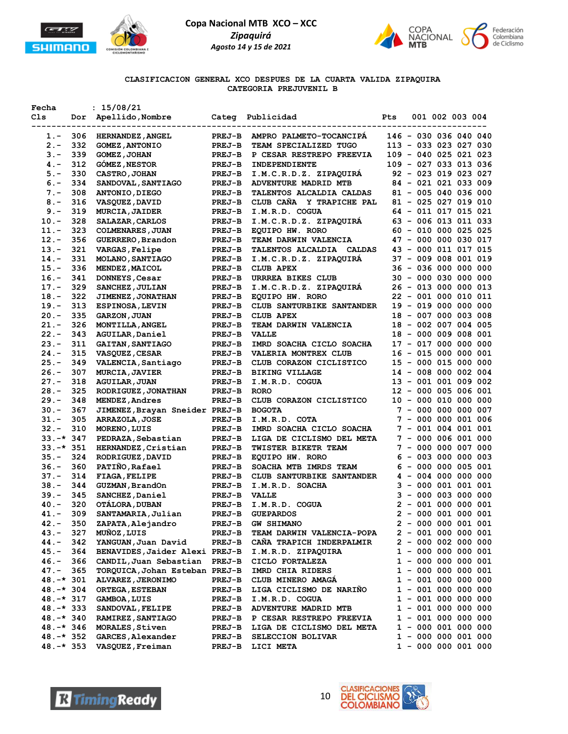



**CLASIFICACION GENERAL XCO DESPUES DE LA CUARTA VALIDA ZIPAQUIRA CATEGORIA PREJUVENIL B**

| Fecha           |     | : 15/08/21                     |               |                           |     |  |                        |                       |
|-----------------|-----|--------------------------------|---------------|---------------------------|-----|--|------------------------|-----------------------|
| Cls             |     | Dor Apellido, Nombre           |               | Categ Publicidad          | Pts |  | 001 002 003 004        |                       |
| --------------- |     | ----------------               |               |                           |     |  |                        |                       |
| $1.-$           | 306 | <b>HERNANDEZ, ANGEL</b>        | <b>PREJ-B</b> | AMPRO PALMETO-TOCANCIPA   |     |  | 146 - 030 036 040 040  |                       |
| $2. -$          | 332 | <b>GOMEZ, ANTONIO</b>          | <b>PREJ-B</b> | TEAM SPECIALIZED TUGO     |     |  | 113 - 033 023 027 030  |                       |
| $3 -$           | 339 | <b>GOMEZ, JOHAN</b>            | <b>PREJ-B</b> | P CESAR RESTREPO FREEVIA  |     |  | 109 - 040 025 021 023  |                       |
| 4. –            | 312 | <b>GOMEZ, NESTOR</b>           | <b>PREJ-B</b> | INDEPENDIENTE             |     |  | 109 - 027 033 013 036  |                       |
| $5. -$          | 330 | <b>CASTRO, JOHAN</b>           | <b>PREJ-B</b> | I.M.C.R.D.Z. ZIPAQUIRA    |     |  | 92 - 023 019 023 027   |                       |
| $6. -$          | 334 | SANDOVAL, SANTIAGO             | <b>PREJ-B</b> | ADVENTURE MADRID MTB      |     |  | 84 - 021 021 033 009   |                       |
| $7 -$           | 308 | <b>ANTONIO, DIEGO</b>          | <b>PREJ-B</b> | TALENTOS ALCALDIA CALDAS  |     |  | 81 - 005 040 036 000   |                       |
| $8 -$           | 316 | <b>VASQUEZ, DAVID</b>          | <b>PREJ-B</b> | CLUB CAÑA Y TRAPICHE PAL  |     |  | 81 - 025 027 019 010   |                       |
| $9. -$          | 319 | <b>MURCIA, JAIDER</b>          | <b>PREJ-B</b> | I.M.R.D. COGUA            |     |  | 64 - 011 017 015 021   |                       |
| $10. -$         | 328 | SALAZAR, CARLOS                | <b>PREJ-B</b> | I.M.C.R.D.Z. ZIPAQUIRA    |     |  | 63 - 006 013 011 033   |                       |
| $11. -$         | 323 | <b>COLMENARES, JUAN</b>        | <b>PREJ-B</b> | EQUIPO HW. RORO           |     |  | $60 - 010 000 025 025$ |                       |
| $12. -$         | 356 | GUERRERO, Brandon              | $PREJ-B$      | TEAM DARWIN VALENCIA      |     |  | 47 - 000 000 030 017   |                       |
| $13 -$          | 321 | VARGAS, Felipe                 | <b>PREJ-B</b> | TALENTOS ALCALDIA CALDAS  |     |  | 43 - 000 011 017 015   |                       |
| $14. -$         | 331 | <b>MOLANO, SANTIAGO</b>        | <b>PREJ-B</b> | I.M.C.R.D.Z. ZIPAQUIRA    |     |  | 37 - 009 008 001 019   |                       |
| $15. -$         | 336 | MENDEZ, MAICOL                 | $PREJ-B$      | <b>CLUB APEX</b>          |     |  | 36 - 036 000 000 000   |                       |
| $16. -$         | 341 | DONNEYS, Cesar                 | <b>PREJ-B</b> | URRREA BIKES CLUB         |     |  | 30 - 000 030 000 000   |                       |
| $17. -$         | 329 | SANCHEZ, JULIAN                | $PREJ-B$      | I.M.C.R.D.Z. ZIPAQUIRA    |     |  | 26 - 013 000 000 013   |                       |
| $18. -$         | 322 | <b>JIMENEZ, JONATHAN</b>       | $PREJ-B$      | EQUIPO HW. RORO           |     |  | 22 - 001 000 010 011   |                       |
| $19. -$         | 313 | <b>ESPINOSA, LEVIN</b>         | <b>PREJ-B</b> | CLUB SANTURBIKE SANTANDER |     |  | 19 - 019 000 000 000   |                       |
| $20 -$          | 335 | <b>GARZON, JUAN</b>            | $PREJ-B$      | <b>CLUB APEX</b>          |     |  | 18 - 007 000 003 008   |                       |
| $21 -$          | 326 | MONTILLA, ANGEL                | <b>PREJ-B</b> | TEAM DARWIN VALENCIA      |     |  | 18 - 002 007 004 005   |                       |
| $22 -$          | 343 | AGUILAR, Daniel                | <b>PREJ-B</b> | VALLE                     |     |  | 18 - 000 009 008 001   |                       |
| $23 -$          | 311 | <b>GAITAN, SANTIAGO</b>        | <b>PREJ-B</b> | IMRD SOACHA CICLO SOACHA  |     |  | 17 - 017 000 000 000   |                       |
| $24. -$         | 315 | <b>VASQUEZ, CESAR</b>          | <b>PREJ-B</b> | VALERIA MONTREX CLUB      |     |  | 16 - 015 000 000 001   |                       |
| $25. -$         | 349 | VALENCIA, Santiago             | <b>PREJ-B</b> | CLUB CORAZON CICLISTICO   |     |  | 15 - 000 015 000 000   |                       |
| $26. -$         | 307 | <b>MURCIA, JAVIER</b>          | <b>PREJ-B</b> | <b>BIKING VILLAGE</b>     |     |  | 14 - 008 000 002 004   |                       |
| $27. -$         | 318 | <b>AGUILAR, JUAN</b>           | <b>PREJ-B</b> | I.M.R.D. COGUA            |     |  | 13 - 001 001 009 002   |                       |
| $28. -$         | 325 | RODRIGUEZ, JONATHAN            | $PREJ-B$      | <b>RORO</b>               |     |  | 12 - 000 005 006 001   |                       |
| $29. -$         | 348 | MENDEZ, Andres                 | <b>PREJ-B</b> | CLUB CORAZON CICLISTICO   |     |  | 10 - 000 010 000 000   |                       |
| $30 -$          | 367 | JIMENEZ, Brayan Sneider PREJ-B |               | <b>BOGOTA</b>             |     |  | 7 - 000 000 000 007    |                       |
| $31 -$          | 305 | ARRAZOLA, JOSE                 | <b>PREJ-B</b> | I.M.R.D. COTA             |     |  | 7 - 000 000 001 006    |                       |
| $32 -$          | 310 | MORENO, LUIS                   | <b>PREJ-B</b> | IMRD SOACHA CICLO SOACHA  |     |  | 7 - 001 004 001 001    |                       |
| $33.-*347$      |     | PEDRAZA, Sebastian             | <b>PREJ-B</b> | LIGA DE CICLISMO DEL META |     |  | 7 - 000 006 001 000    |                       |
| $33.-*351$      |     | HERNANDEZ, Cristian            | <b>PREJ-B</b> | TWISTER BIKETR TEAM       |     |  | 7 - 000 000 007 000    |                       |
| $35. -$         | 324 | RODRIGUEZ, DAVID               | <b>PREJ-B</b> | EQUIPO HW. RORO           |     |  | $6 - 003 000 000 003$  |                       |
| $36. -$         | 360 | PATIÑO, Rafael                 | <b>PREJ-B</b> | SOACHA MTB IMRDS TEAM     |     |  | $6 - 000 000 005 001$  |                       |
| $37 -$          | 314 | <b>FIAGA, FELIPE</b>           | <b>PREJ-B</b> | CLUB SANTURBIKE SANTANDER |     |  | $4 - 004 000 000 000$  |                       |
| $38. -$         | 344 | GUZMAN, BrandOn                | $PREJ-B$      | I.M.R.D. SOACHA           |     |  | $3 - 000001001001$     |                       |
| $39. -$         | 345 | SANCHEZ, Daniel                | $PREJ-B$      | <b>VALLE</b>              |     |  | $3 - 000003000000$     |                       |
| 40.-            | 320 | OTALORA, DUBAN                 | <b>PREJ-B</b> | I.M.R.D. COGUA            |     |  | $2 - 001 000 000 001$  |                       |
| $41. -$         | 309 | SANTAMARIA, Julian             | <b>PREJ-B</b> | <b>GUEPARDOS</b>          |     |  | $2 - 000001000001$     |                       |
| 42.-            | 350 | ZAPATA, Alejandro              | <b>PREJ-B</b> | <b>GW SHIMANO</b>         |     |  | 2 - 000 000 001 001    |                       |
| 43.-            | 327 | MUÑOZ, LUIS                    | <b>PREJ-B</b> | TEAM DARWIN VALENCIA-POPA |     |  | $2 - 001 000 000 001$  |                       |
| 44.-            | 342 | YANGUAN, Juan David            | <b>PREJ-B</b> | CANA TRAPICH INDERPALMIR  |     |  | $2 - 000002000000$     |                       |
| 45.-            | 364 | BENAVIDES, Jaider Alexi PREJ-B |               | I.M.R.D. ZIPAQUIRA        |     |  | 1 - 000 000 000 001    |                       |
| 46.-            | 366 | CANDIL, Juan Sebastian         | <b>PREJ-B</b> | CICLO FORTALEZA           |     |  | $1 - 000 000 000 001$  |                       |
| $47. -$         | 365 | TORQUICA, Johan Esteban PREJ-B |               | IMRD CHIA RIDERS          |     |  | $1 - 000 000 000 001$  |                       |
| $48. -* 301$    |     | ALVAREZ, JERONIMO              | <b>PREJ-B</b> | CLUB MINERO AMAGA         |     |  | $1 - 001 000 000 000$  |                       |
| $48. -* 304$    |     | ORTEGA, ESTEBAN                | <b>PREJ-B</b> | LIGA CICLISMO DE NARINO   |     |  | $1 - 001 000 000 000$  |                       |
| 48.-* 317       |     | <b>GAMBOA, LUIS</b>            | <b>PREJ-B</b> | I.M.R.D. COGUA            |     |  | $1 - 001 000 000 000$  |                       |
| 48.-* 333       |     | SANDOVAL, FELIPE               | <b>PREJ-B</b> | ADVENTURE MADRID MTB      |     |  | $1 - 001 000 000 000$  |                       |
| $48. -* 340$    |     | RAMIREZ, SANTIAGO              | <b>PREJ-B</b> | P CESAR RESTREPO FREEVIA  |     |  | $1 - 001 000 000 000$  |                       |
| $48. -* 346$    |     | <b>MORALES, Stiven</b>         | <b>PREJ-B</b> | LIGA DE CICLISMO DEL META |     |  | $1 - 000001000000$     |                       |
| 48.-* 352       |     | GARCES, Alexander              | <b>PREJ-B</b> | SELECCION BOLIVAR         |     |  | 1 - 000 000 001 000    |                       |
| 48.-* 353       |     | VASQUEZ, Freiman               | <b>PREJ-B</b> | LICI META                 |     |  |                        | $1 - 000 000 001 000$ |
|                 |     |                                |               |                           |     |  |                        |                       |



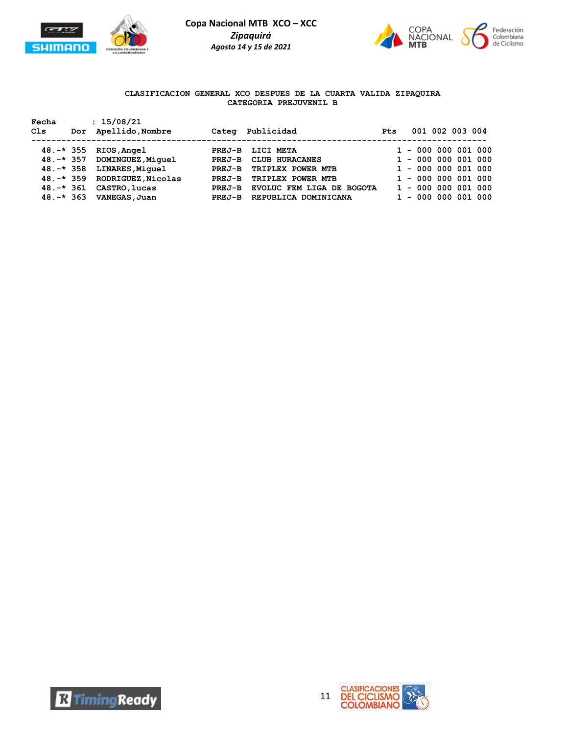



## **CLASIFICACION GENERAL XCO DESPUES DE LA CUARTA VALIDA ZIPAQUIRA CATEGORIA PREJUVENIL B**

| Fecha<br>Cls                                                                 | : 15/08/21<br>Dor Apellido, Nombre                                                                                          | Categ                                                      | Publicidad                                                                                                                        | <b>Pts</b> |  | 001 002 003 004                                                                                                                                    |
|------------------------------------------------------------------------------|-----------------------------------------------------------------------------------------------------------------------------|------------------------------------------------------------|-----------------------------------------------------------------------------------------------------------------------------------|------------|--|----------------------------------------------------------------------------------------------------------------------------------------------------|
| $48. -* 355$<br>$48. -* 357$<br>$48. -* 358$<br>$48. -* 361$<br>$48. -* 363$ | RIOS,Angel<br>DOMINGUEZ, Miquel<br><b>LINARES, Miquel</b><br>48.-* 359 RODRIGUEZ, Nicolas<br>CASTRO, lucas<br>VANEGAS, Juan | PREJ-B<br>$PREJ-B$<br>PREJ-B<br>PREJ-B<br>PREJ-B<br>PREJ-B | LICI META<br>CLUB HURACANES<br>TRIPLEX POWER MTB<br>TRIPLEX POWER MTB<br><b>EVOLUC FEM LIGA DE BOGOTA</b><br>REPUBLICA DOMINICANA |            |  | $1 - 000 000 001 000$<br>$1 - 000 000 001 000$<br>$1 - 000 000 001 000$<br>$1 - 000 000 001 000$<br>$1 - 000 000 001 000$<br>$1 - 000 000 001 000$ |



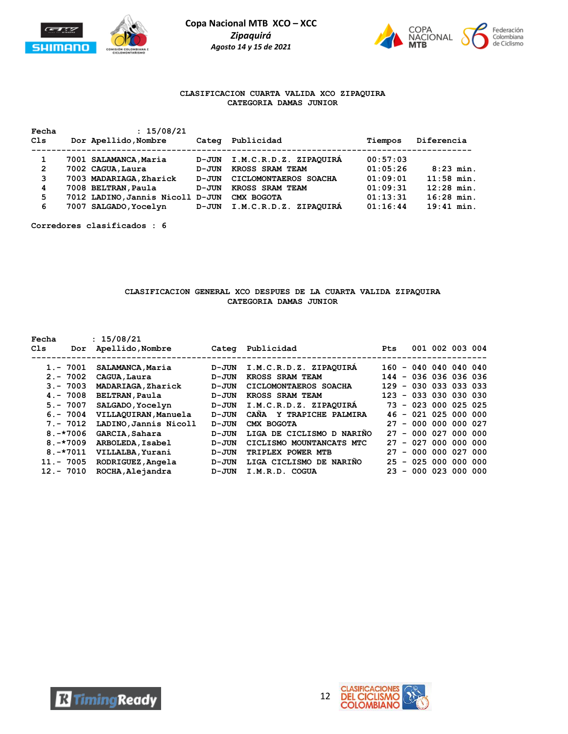



## **CLASIFICACION CUARTA VALIDA XCO ZIPAQUIRA CATEGORIA DAMAS JUNIOR**

| Fecha          | : 15/08/21                       |       |                                  |          |              |
|----------------|----------------------------------|-------|----------------------------------|----------|--------------|
| Cls            | Dor Apellido, Nombre             | Categ | Publicidad                       | Tiempos  | Diferencia   |
|                |                                  |       |                                  |          |              |
|                | 7001 SALAMANCA, Maria            | D-JUN | I.M.C.R.D.Z. ZIPAQUIRA           | 00:57:03 |              |
| $\overline{2}$ | 7002 CAGUA, Laura                | D-JUN | KROSS SRAM TEAM                  | 01:05:26 | $8:23$ min.  |
| 3              | 7003 MADARIAGA, Zharick          | D-JUN | CICLOMONTAEROS SOACHA            | 01:09:01 | $11:58$ min. |
| 4              | 7008 BELTRAN, Paula              | D-JUN | KROSS SRAM TEAM                  | 01:09:31 | $12:28$ min. |
| 5              | 7012 LADINO, Jannis Nicoll D-JUN |       | CMX BOGOTA                       | 01:13:31 | $16:28$ min. |
| 6              | 7007 SALGADO, Yocelyn            | D-JUN | <b>ZIPAQUIRÁ</b><br>I.M.C.R.D.Z. | 01:16:44 | $19:41$ min. |
|                |                                  |       |                                  |          |              |

**Corredores clasificados : 6**

### **CLASIFICACION GENERAL XCO DESPUES DE LA CUARTA VALIDA ZIPAQUIRA CATEGORIA DAMAS JUNIOR**

| Fecha<br>C1s | Dor           | : 15/08/21<br>Apellido, Nombre | Categ     | Publicidad                 | <b>Pts</b>                     |                   | 001 002 003 004 |  |
|--------------|---------------|--------------------------------|-----------|----------------------------|--------------------------------|-------------------|-----------------|--|
|              | $1. - 7001$   | SALAMANCA, Maria               | D-JUN     | I.M.C.R.D.Z. ZIPAQUIRA     | 160                            | $-040040040040$   |                 |  |
|              | $2 - 7002$    | CAGUA, Laura                   | D-JUN     | KROSS SRAM TEAM            | 144                            | - 036 036 036 036 |                 |  |
|              | $3 - 7003$    | MADARIAGA, Zharick             | $D - JUN$ | CICLOMONTAEROS SOACHA      | 129                            | $-030033033033$   |                 |  |
|              | $4. - 7008$   | <b>BELTRAN, Paula</b>          | D-JUN     | KROSS SRAM TEAM            | 123                            | $-03300030030$    |                 |  |
|              | $5. - 7007$   | SALGADO, Yocelyn               | D-JUN     | I.M.C.R.D.Z. ZIPAQUIRA     | 73.                            | $-023000025025$   |                 |  |
|              | $6. - 7004$   | VILLAQUIRAN, Manuela           | $D - JUN$ | CANA<br>Y TRAPICHE PALMIRA | 46.                            | $-021025000000$   |                 |  |
|              | $7. - 7012$   | LADINO, Jannis Nicoll          | $D - JUN$ | CMX BOGOTA                 | 27                             | $-0000000000027$  |                 |  |
|              | $8. - * 7006$ | GARCIA, Sahara                 | $D - JUN$ | LIGA DE CICLISMO D NARIÑO  | 27<br>$\overline{\phantom{a}}$ | 000 027 000 000   |                 |  |
|              | $8. - * 7009$ | ARBOLEDA, Isabel               | $D - JUN$ | CICLISMO MOUNTANCATS MTC   | 27                             | $-027000000000$   |                 |  |
|              | $8. - * 7011$ | VILLALBA, Yurani               | $D - JUN$ | TRIPLEX POWER MTB          | 27<br>$\overline{\phantom{0}}$ | 000 000 027 000   |                 |  |
|              | $11. - 7005$  | RODRIGUEZ, Angela              | $D - JUN$ | LIGA CICLISMO DE NARIÑO    | 25                             | $-025000000000$   |                 |  |
|              | $12 - 7010$   | ROCHA, Alejandra               | $D - JUN$ | I.M.R.D. COGUA             | 23<br>$\overline{\phantom{a}}$ | 000 023 000 000   |                 |  |

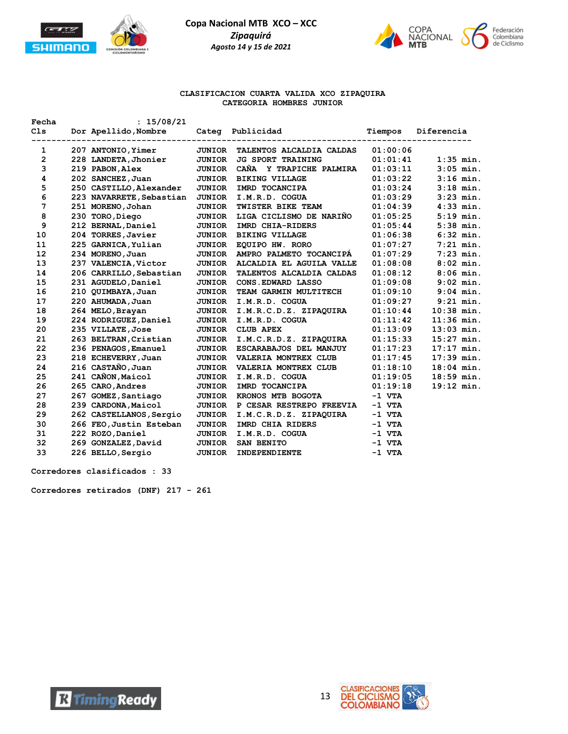



#### **CLASIFICACION CUARTA VALIDA XCO ZIPAQUIRA CATEGORIA HOMBRES JUNIOR**

| Fecha        | : 15/08/21               |               |                          |          |              |
|--------------|--------------------------|---------------|--------------------------|----------|--------------|
| C1s          | Dor Apellido, Nombre     |               | Categ Publicidad         | Tiempos  | Diferencia   |
| 1            | 207 ANTONIO, Yimer       | <b>JUNIOR</b> | TALENTOS ALCALDIA CALDAS | 01:00:06 |              |
| $\mathbf{2}$ | 228 LANDETA, Jhonier     | <b>JUNIOR</b> | <b>JG SPORT TRAINING</b> | 01:01:41 | $1:35$ min.  |
| 3            | 219 PABON, Alex          | <b>JUNIOR</b> | CAÑA Y TRAPICHE PALMIRA  | 01:03:11 | $3:05$ min.  |
| 4            | 202 SANCHEZ, Juan        | <b>JUNIOR</b> | <b>BIKING VILLAGE</b>    | 01:03:22 | $3:16$ min.  |
| 5            | 250 CASTILLO, Alexander  | <b>JUNIOR</b> | IMRD TOCANCIPA           | 01:03:24 | $3:18$ min.  |
| 6            | 223 NAVARRETE, Sebastian | <b>JUNIOR</b> | I.M.R.D. COGUA           | 01:03:29 | $3:23$ min.  |
| 7            | 251 MORENO, Johan        | <b>JUNIOR</b> | TWISTER BIKE TEAM        | 01:04:39 | $4:33$ min.  |
| 8            | 230 TORO, Diego          | <b>JUNIOR</b> | LIGA CICLISMO DE NARIÑO  | 01:05:25 | $5:19$ min.  |
| 9            | 212 BERNAL, Daniel       | <b>JUNIOR</b> | IMRD CHIA-RIDERS         | 01:05:44 | $5:38$ min.  |
| 10           | 204 TORRES, Javier       | <b>JUNIOR</b> | <b>BIKING VILLAGE</b>    | 01:06:38 | $6:32$ min.  |
| 11           | 225 GARNICA, Yulian      | <b>JUNIOR</b> | EQUIPO HW. RORO          | 01:07:27 | $7:21$ min.  |
| 12           | 234 MORENO, Juan         | <b>JUNIOR</b> | AMPRO PALMETO TOCANCIPA  | 01:07:29 | $7:23$ min.  |
| 13           | 237 VALENCIA, Victor     | <b>JUNIOR</b> | ALCALDIA EL AGUILA VALLE | 01:08:08 | $8:02$ min.  |
| 14           | 206 CARRILLO, Sebastian  | <b>JUNIOR</b> | TALENTOS ALCALDIA CALDAS | 01:08:12 | $8:06$ min.  |
| 15           | 231 AGUDELO, Daniel      | <b>JUNIOR</b> | CONS. EDWARD LASSO       | 01:09:08 | $9:02$ min.  |
| 16           | 210 QUIMBAYA, Juan       | <b>JUNIOR</b> | TEAM GARMIN MULTITECH    | 01:09:10 | $9:04$ min.  |
| 17           | 220 AHUMADA, Juan        | JUNIOR        | I.M.R.D. COGUA           | 01:09:27 | $9:21$ min.  |
| 18           | 264 MELO, Brayan         | <b>JUNIOR</b> | I.M.R.C.D.Z. ZIPAQUIRA   | 01:10:44 | $10:38$ min. |
| 19           | 224 RODRIGUEZ, Daniel    | <b>JUNIOR</b> | I.M.R.D. COGUA           | 01:11:42 | $11:36$ min. |
| 20           | 235 VILLATE, Jose        | <b>JUNIOR</b> | <b>CLUB APEX</b>         | 01:13:09 | $13:03$ min. |
| 21           | 263 BELTRAN, Cristian    | <b>JUNIOR</b> | I.M.C.R.D.Z. ZIPAQUIRA   | 01:15:33 | $15:27$ min. |
| 22           | 236 PENAGOS, Emanuel     | <b>JUNIOR</b> | ESCARABAJOS DEL MANJUY   | 01:17:23 | $17:17$ min. |
| 23           | 218 ECHEVERRY, Juan      | <b>JUNIOR</b> | VALERIA MONTREX CLUB     | 01:17:45 | $17:39$ min. |
| 24           | 216 CASTAÑO, Juan        | <b>JUNIOR</b> | VALERIA MONTREX CLUB     | 01:18:10 | $18:04$ min. |
| 25           | 241 CAÑON, Maicol        | <b>JUNIOR</b> | I.M.R.D. COGUA           | 01:19:05 | $18:59$ min. |
| 26           | 265 CARO, Andres         | <b>JUNIOR</b> | IMRD TOCANCIPA           | 01:19:18 | $19:12$ min. |
| 27           | 267 GOMEZ, Santiago      | <b>JUNIOR</b> | KRONOS MTB BOGOTA        | $-1$ VTA |              |
| 28           | 239 CARDONA, Maicol      | <b>JUNIOR</b> | P CESAR RESTREPO FREEVIA | $-1$ VTA |              |
| 29           | 262 CASTELLANOS, Sergio  | <b>JUNIOR</b> | I.M.C.R.D.Z. ZIPAQUIRA   | $-1$ VTA |              |
| 30           | 266 FEO, Justin Esteban  | <b>JUNIOR</b> | IMRD CHIA RIDERS         | $-1$ VTA |              |
| 31           | 222 ROZO, Daniel         | <b>JUNIOR</b> | I.M.R.D. COGUA           | $-1$ VTA |              |
| 32           | 269 GONZALEZ, David      | <b>JUNIOR</b> | SAN BENITO               | $-1$ VTA |              |
| 33           | 226 BELLO, Sergio        | <b>JUNIOR</b> | INDEPENDIENTE            | $-1$ VTA |              |

**Corredores clasificados : 33**

**Corredores retirados (DNF) 217 - 261**



**R** Timing Ready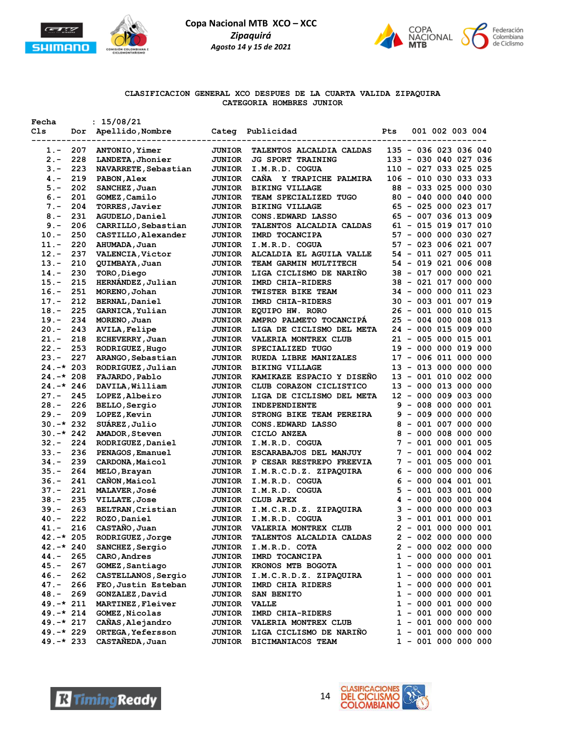

**Fecha : 15/08/21**

**Copa Nacional MTB XCO – XCC** *Zipaquirá Agosto 14 y 15 de 2021*



### **CLASIFICACION GENERAL XCO DESPUES DE LA CUARTA VALIDA ZIPAQUIRA CATEGORIA HOMBRES JUNIOR**

| Cls          | Dor | Apellido, Nombre        | Categ         | Publicidad                | Pts          |  | 001 002 003 004        |                        |
|--------------|-----|-------------------------|---------------|---------------------------|--------------|--|------------------------|------------------------|
| 1.-          | 207 | ANTONIO, Yimer          | <b>JUNIOR</b> | TALENTOS ALCALDIA CALDAS  |              |  | 135 - 036 023 036 040  |                        |
| $2. -$       | 228 | LANDETA, Jhonier        | <b>JUNIOR</b> | <b>JG SPORT TRAINING</b>  |              |  |                        | 133 - 030 040 027 036  |
| $3 -$        | 223 | NAVARRETE, Sebastian    | <b>JUNIOR</b> | I.M.R.D. COGUA            |              |  |                        | 110 - 027 033 025 025  |
| $4. -$       | 219 | PABON, Alex             | <b>JUNIOR</b> | CAÑA Y TRAPICHE PALMIRA   |              |  |                        | 106 - 010 030 033 033  |
| $5. -$       | 202 | SANCHEZ, Juan           | <b>JUNIOR</b> | <b>BIKING VILLAGE</b>     |              |  |                        | 88 - 033 025 000 030   |
| $6. -$       | 201 | GOMEZ, Camilo           | <b>JUNIOR</b> | TEAM SPECIALIZED TUGO     |              |  | $80 - 040 000 040 000$ |                        |
| $7 -$        | 204 | TORRES, Javier          | <b>JUNIOR</b> | <b>BIKING VILLAGE</b>     |              |  |                        | 65 - 025 000 023 017   |
| $8 -$        | 231 | AGUDELO, Daniel         | <b>JUNIOR</b> | CONS. EDWARD LASSO        |              |  |                        | 65 - 007 036 013 009   |
| $9 -$        | 206 | CARRILLO, Sebastian     | <b>JUNIOR</b> | TALENTOS ALCALDIA CALDAS  |              |  |                        | $61 - 015 019 017 010$ |
| $10. -$      | 250 | CASTILLO, Alexander     | <b>JUNIOR</b> | IMRD TOCANCIPA            |              |  |                        | 57 - 000 000 030 027   |
| $11. -$      | 220 | AHUMADA, Juan           | <b>JUNIOR</b> | I.M.R.D. COGUA            |              |  |                        | 57 - 023 006 021 007   |
| $12. -$      | 237 | <b>VALENCIA, Victor</b> | JUNIOR        | ALCALDIA EL AGUILA VALLE  |              |  |                        | 54 - 011 027 005 011   |
| $13 -$       | 210 | QUIMBAYA, Juan          | <b>JUNIOR</b> | TEAM GARMIN MULTITECH     |              |  |                        | 54 - 019 021 006 008   |
| $14. -$      | 230 | TORO,Diego              | <b>JUNIOR</b> | LIGA CICLISMO DE NARIÑO   |              |  | 38 - 017 000 000 021   |                        |
| $15. -$      | 215 | HERNANDEZ, Julian       | <b>JUNIOR</b> | IMRD CHIA-RIDERS          |              |  | 38 - 021 017 000 000   |                        |
| $16. -$      | 251 | MORENO, Johan           | <b>JUNIOR</b> | <b>TWISTER BIKE TEAM</b>  |              |  | 34 - 000 000 011 023   |                        |
| $17. -$      | 212 | <b>BERNAL, Daniel</b>   | <b>JUNIOR</b> | IMRD CHIA-RIDERS          |              |  | 30 - 003 001 007 019   |                        |
| $18. -$      | 225 | GARNICA, Yulian         | <b>JUNIOR</b> | EQUIPO HW. RORO           |              |  |                        | 26 - 001 000 010 015   |
| $19. -$      | 234 | MORENO, Juan            | <b>JUNIOR</b> | AMPRO PALMETO TOCANCIPÁ   |              |  |                        | 25 - 004 000 008 013   |
| $20. -$      | 243 | <b>AVILA, Felipe</b>    | <b>JUNIOR</b> | LIGA DE CICLISMO DEL META |              |  | 24 - 000 015 009 000   |                        |
| $21 -$       | 218 | ECHEVERRY, Juan         | <b>JUNIOR</b> | VALERIA MONTREX CLUB      |              |  |                        | 21 - 005 000 015 001   |
| $22 -$       | 253 | RODRIGUEZ, Hugo         | <b>JUNIOR</b> | SPECIALIZED TUGO          |              |  | 19 - 000 000 019 000   |                        |
| $23 -$       | 227 | ARANGO, Sebastian       | <b>JUNIOR</b> | RUEDA LIBRE MANIZALES     |              |  |                        | 17 - 006 011 000 000   |
| $24. -* 203$ |     | RODRIGUEZ, Julian       | <b>JUNIOR</b> | <b>BIKING VILLAGE</b>     |              |  |                        | 13 - 013 000 000 000   |
| $24.-*208$   |     | FAJARDO, Pablo          | <b>JUNIOR</b> | KAMIKAZE ESPACIO Y DISENO |              |  |                        | 13 - 001 010 002 000   |
| $24. -* 246$ |     | DAVILA, William         | <b>JUNIOR</b> | CLUB CORAZON CICLISTICO   |              |  |                        | 13 - 000 013 000 000   |
| $27. -$      | 245 | LOPEZ, Albeiro          | <b>JUNIOR</b> | LIGA DE CICLISMO DEL META |              |  | 12 - 000 009 003 000   |                        |
| $28. -$      | 226 | BELLO, Sergio           | <b>JUNIOR</b> | INDEPENDIENTE             | 9            |  | - 008 000 000 001      |                        |
| $29. -$      | 209 | LOPEZ, Kevin            | <b>JUNIOR</b> | STRONG BIKE TEAM PEREIRA  |              |  | $9 - 009 000 000 000$  |                        |
| $30.-*232$   |     | SUAREZ, Julio           | <b>JUNIOR</b> | CONS. EDWARD LASSO        |              |  |                        | $8 - 001 007 000 000$  |
| $30.-*242$   |     | AMADOR, Steven          | <b>JUNIOR</b> | CICLO ANZEA               |              |  |                        | $8 - 000 008 000 000$  |
| $32 -$       | 224 | RODRIGUEZ, Daniel       | <b>JUNIOR</b> | I.M.R.D. COGUA            |              |  |                        | $7 - 001 000 001 005$  |
| $33. -$      | 236 | PENAGOS, Emanuel        | <b>JUNIOR</b> | ESCARABAJOS DEL MANJUY    |              |  |                        | 7 - 001 000 004 002    |
| $34. -$      | 239 | CARDONA, Maicol         | <b>JUNIOR</b> | P CESAR RESTREPO FREEVIA  |              |  |                        | $7 - 001 005 000 001$  |
| $35. -$      | 264 | MELO, Brayan            | <b>JUNIOR</b> | I.M.R.C.D.Z. ZIPAQUIRA    |              |  |                        | $6 - 000 000 000 006$  |
| $36. -$      | 241 | CANON, Maicol           | <b>JUNIOR</b> | I.M.R.D. COGUA            |              |  |                        | $6 - 000004001001$     |
| $37 -$       | 221 | <b>MALAVER, José</b>    | <b>JUNIOR</b> | I.M.R.D. COGUA            | 5.           |  | $-001003001000$        |                        |
| $38 -$       | 235 | <b>VILLATE, Jose</b>    | <b>JUNIOR</b> | <b>CLUB APEX</b>          | 4            |  |                        | $-0000000000004$       |
| $39. -$      | 263 | BELTRAN, Cristian       | <b>JUNIOR</b> | I.M.C.R.D.Z. ZIPAQUIRA    |              |  |                        | $3 - 000000000003$     |
| $40 -$       | 222 | ROZO, Daniel            | <b>JUNIOR</b> | I.M.R.D. COGUA            |              |  |                        | $3 - 001001000001$     |
| $41. -$      | 216 | CASTAÑO, Juan           | <b>JUNIOR</b> | VALERIA MONTREX CLUB      |              |  |                        | $2 - 001 000 000 001$  |
| $42. -* 205$ |     | RODRIGUEZ, Jorge        | <b>JUNIOR</b> | TALENTOS ALCALDIA CALDAS  |              |  | $2 - 002 000 000 000$  |                        |
| $42.-*240$   |     | SANCHEZ, Sergio         | <b>JUNIOR</b> | I.M.R.D. COTA             |              |  |                        | $2 - 000002000000$     |
| 44.-         | 265 | CARO, Andres            | <b>JUNIOR</b> | IMRD TOCANCIPA            |              |  |                        | $1 - 000 000 000 001$  |
| $45. -$      | 267 | GOMEZ, Santiago         | <b>JUNIOR</b> | KRONOS MTB BOGOTA         | $\mathbf{1}$ |  |                        | $-000000000001$        |
| 46.-         | 262 | CASTELLANOS, Sergio     | <b>JUNIOR</b> | I.M.C.R.D.Z. ZIPAQUIRA    |              |  |                        | $1 - 000 000 000 001$  |
| 47.-         | 266 | FEO, Justin Esteban     | <b>JUNIOR</b> | IMRD CHIA RIDERS          |              |  |                        | 1 - 000 000 000 001    |
| 48.-         | 269 | GONZALEZ, David         | <b>JUNIOR</b> | SAN BENITO                | $\mathbf{1}$ |  |                        | $-0000000000001$       |
| $49. -* 211$ |     | MARTINEZ, Fleiver       | <b>JUNIOR</b> | <b>VALLE</b>              | $\mathbf{1}$ |  |                        | $-000001000000$        |
| $49. -* 214$ |     | GOMEZ, Nicolas          | <b>JUNIOR</b> | IMRD CHIA-RIDERS          | $\mathbf{1}$ |  |                        | $-001000000000$        |
| $49. -* 217$ |     | CAÑAS, Alejandro        | <b>JUNIOR</b> | VALERIA MONTREX CLUB      |              |  |                        | $1 - 001 000 000 000$  |
| 49.-* 229    |     | ORTEGA, Yefersson       | <b>JUNIOR</b> | LIGA CICLISMO DE NARIÑO   | 1            |  |                        | $-001000000000$        |
| $49. -* 233$ |     | CASTAÑEDA, Juan         | <b>JUNIOR</b> | BICIMANIACOS TEAM         |              |  |                        | $1 - 001 000 000 000$  |
|              |     |                         |               |                           |              |  |                        |                        |



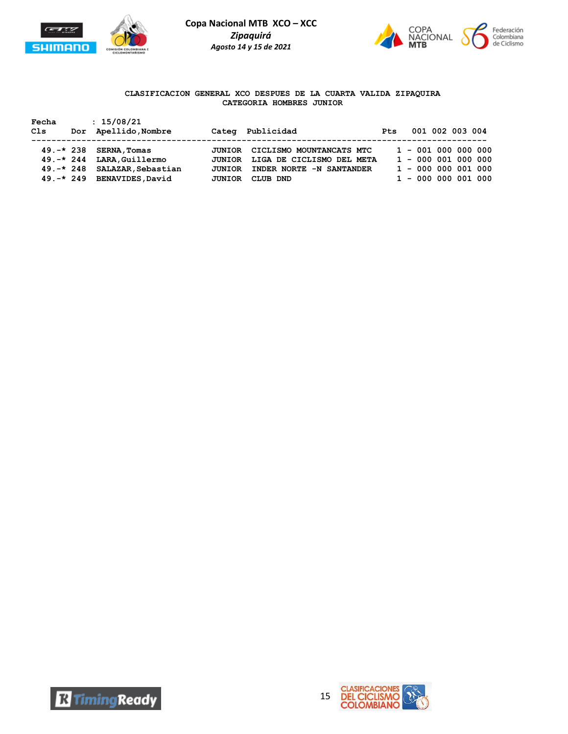



## **CLASIFICACION GENERAL XCO DESPUES DE LA CUARTA VALIDA ZIPAQUIRA CATEGORIA HOMBRES JUNIOR**

| Fecha<br>Cls | : 15/08/21<br>Dor Apellido, Nombre                                                                                 |                                   | Categ Publicidad                                                                                     | <b>Pts</b> | 001 002 003 004                                                                               |
|--------------|--------------------------------------------------------------------------------------------------------------------|-----------------------------------|------------------------------------------------------------------------------------------------------|------------|-----------------------------------------------------------------------------------------------|
|              | $49.-*238$ SERNA, Tomas<br>49.-* 244 LARA, Guillermo<br>49.-* 248 SALAZAR, Sebastian<br>49.-* 249 BENAVIDES, David | JUNIOR<br><b>JUNIOR</b><br>JUNIOR | CICLISMO MOUNTANCATS MTC<br>JUNIOR LIGA DE CICLISMO DEL META<br>INDER NORTE -N SANTANDER<br>CLUB DND |            | $1 - 001 000 000 000$<br>$1 - 000001000000$<br>$1 - 000 000 001 000$<br>$1 - 000 000 001 000$ |



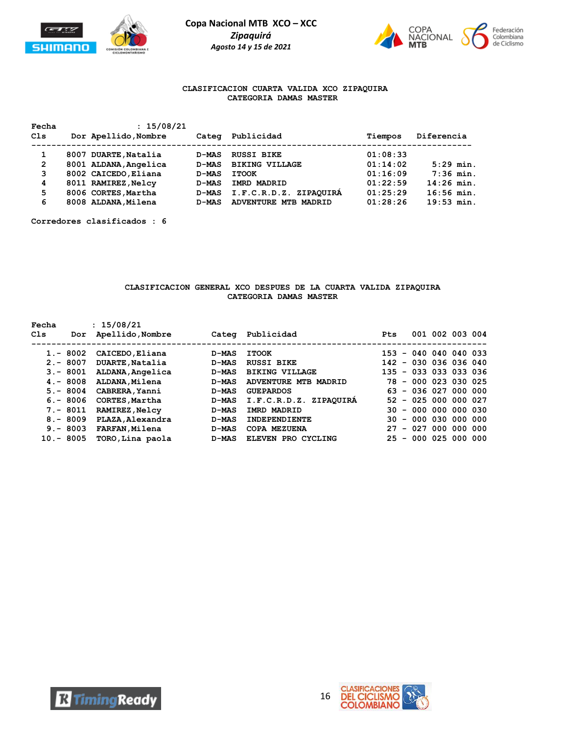



## **CLASIFICACION CUARTA VALIDA XCO ZIPAQUIRA CATEGORIA DAMAS MASTER**

| Fecha<br>Cls   | : 15/08/21<br>Dor Apellido, Nombre | Categ        | Publicidad                | Tiempos  | Diferencia   |
|----------------|------------------------------------|--------------|---------------------------|----------|--------------|
| 1              | 8007 DUARTE, Natalia               | <b>D-MAS</b> | <b>RUSSI BIKE</b>         | 01:08:33 |              |
| $\overline{2}$ | 8001 ALDANA, Angelica              | <b>D-MAS</b> | <b>BIKING VILLAGE</b>     | 01:14:02 | $5:29$ min.  |
| 3              | 8002 CAICEDO, Eliana               | <b>D-MAS</b> | <b>ITOOK</b>              | 01:16:09 | $7:36$ min.  |
| 4              | 8011 RAMIREZ, Nelcy                | <b>D-MAS</b> | IMRD MADRID               | 01:22:59 | $14:26$ min. |
| 5              | 8006 CORTES, Martha                | <b>D-MAS</b> | ZIPAOUIRA<br>I.F.C.R.D.Z. | 01:25:29 | $16:56$ min. |
| 6              | 8008 ALDANA, Milena                | <b>D-MAS</b> | ADVENTURE MTB MADRID      | 01:28:26 | $19:53$ min. |

**Corredores clasificados : 6**

#### **CLASIFICACION GENERAL XCO DESPUES DE LA CUARTA VALIDA ZIPAQUIRA CATEGORIA DAMAS MASTER**

| Fecha<br>C1s | Dor         | : 15/08/21<br>Apellido, Nombre | Categ        | Publicidad                     | <b>Pts</b>                     |                   | 001 002 003 004 |  |
|--------------|-------------|--------------------------------|--------------|--------------------------------|--------------------------------|-------------------|-----------------|--|
|              |             |                                |              |                                |                                |                   |                 |  |
|              | $1. - 8002$ | CAICEDO, Eliana                | <b>D-MAS</b> | <b>ITOOK</b>                   | 153                            | $-040040040033$   |                 |  |
|              | $2 - 8007$  | DUARTE, Natalia                | <b>D-MAS</b> | <b>RUSSI BIKE</b>              | 142                            | - 030 036 036 040 |                 |  |
|              | $3 - 8001$  | ALDANA, Angelica               | D-MAS        | <b>BIKING VILLAGE</b>          | 135 - 033 033 033 036          |                   |                 |  |
|              | $4 - 8008$  | ALDANA, Milena                 | D-MAS        | <b>ADVENTURE MTB</b><br>MADRID | 78.                            | $-000023030025$   |                 |  |
|              | $5. - 8004$ | CABRERA, Yanni                 | D-MAS        | <b>GUEPARDOS</b>               | 63.                            | $-036027000000$   |                 |  |
|              | $6. - 8006$ | CORTES, Martha                 | <b>D-MAS</b> | I.F.C.R.D.Z. ZIPAQUIRA         | 52.                            | - 025 000 000 027 |                 |  |
|              | $7. - 8011$ | <b>RAMIREZ, Nelcy</b>          | D-MAS        | <b>IMRD MADRID</b>             | 30.                            | $-000000000030$   |                 |  |
|              | $8 - 8009$  | PLAZA, Alexandra               | D-MAS        | <b>INDEPENDIENTE</b>           | 30.                            | $-000030000000$   |                 |  |
|              | $9 - 8003$  | <b>FARFAN, Milena</b>          | D-MAS        | COPA MEZUENA                   | 27                             | $-027000000000$   |                 |  |
|              | $10 - 8005$ | TORO, Lina paola               | <b>D-MAS</b> | ELEVEN PRO CYCLING             | 25<br>$\overline{\phantom{a}}$ |                   | 000 025 000 000 |  |



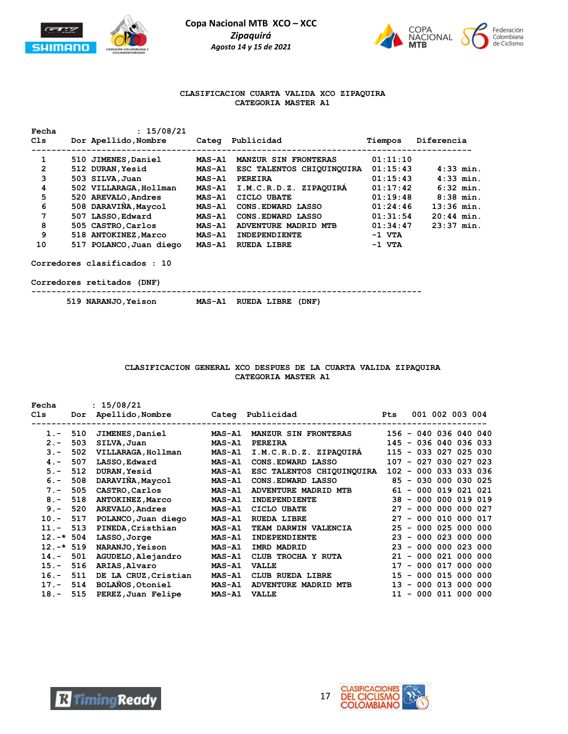



### **CLASIFICACION CUARTA VALIDA XCO ZIPAQUIRA CATEGORIA MASTER A1**

| Fecha | : 15/08/21              |               |                             |          |              |
|-------|-------------------------|---------------|-----------------------------|----------|--------------|
| C1s   | Dor Apellido, Nombre    | Categ         | Publicidad                  | Tiempos  | Diferencia   |
| 1     | 510 JIMENES, Daniel     | <b>MAS-A1</b> | <b>MANZUR SIN FRONTERAS</b> | 01:11:10 |              |
| 2     | 512 DURAN, Yesid        | MAS-A1        | ESC TALENTOS CHIQUINQUIRA   | 01:15:43 | $4:33$ min.  |
| 3     | 503 SILVA, Juan         | MAS-A1        | <b>PEREIRA</b>              | 01:15:43 | $4:33$ min.  |
| 4     | 502 VILLARAGA, Hollman  | <b>MAS-A1</b> | I.M.C.R.D.Z. ZIPAQUIRA      | 01:17:42 | $6:32$ min.  |
| 5     | 520 AREVALO, Andres     | MAS-A1        | CICLO UBATE                 | 01:19:48 | $8:38$ min.  |
| 6     | 508 DARAVIÑA, Maycol    | <b>MAS-A1</b> | CONS. EDWARD LASSO          | 01:24:46 | $13:36$ min. |
| 7     | 507 LASSO, Edward       | MAS-A1        | CONS. EDWARD LASSO          | 01:31:54 | $20:44$ min. |
| 8     | 505 CASTRO, Carlos      | <b>MAS-A1</b> | ADVENTURE MADRID MTB        | 01:34:47 | $23:37$ min. |
| 9     | 518 ANTOKINEZ, Marco    | <b>MAS-A1</b> | <b>INDEPENDIENTE</b>        | $-1$ VTA |              |
| 10    | 517 POLANCO, Juan diego | MAS-A1        | RUEDA LIBRE                 | $-1$ VTA |              |

**Corredores clasificados : 10**

**Corredores retitados (DNF)**

**------------------------------------------------------------------------------**

 **519 NARANJO,Yeison MAS-A1 RUEDA LIBRE (DNF)** 

## **CLASIFICACION GENERAL XCO DESPUES DE LA CUARTA VALIDA ZIPAQUIRA CATEGORIA MASTER A1**

| Fecha      |     | : 15/08/21             |               |                             |     |                       |  |  |
|------------|-----|------------------------|---------------|-----------------------------|-----|-----------------------|--|--|
| Cls        | Dor | Apellido,Nombre        |               | Categ Publicidad            | Pts | 001 002 003 004       |  |  |
| $1 -$      | 510 | <b>JIMENES, Daniel</b> | <b>MAS-A1</b> | <b>MANZUR SIN FRONTERAS</b> |     | 156 - 040 036 040 040 |  |  |
| $2 -$      | 503 | SILVA, Juan            | <b>MAS-A1</b> | <b>PEREIRA</b>              |     | 145 - 036 040 036 033 |  |  |
| $3 -$      | 502 | VILLARAGA, Hollman     | <b>MAS-A1</b> | I.M.C.R.D.Z. ZIPAQUIRA      |     | 115 - 033 027 025 030 |  |  |
| $4 -$      | 507 | LASSO, Edward          | <b>MAS-A1</b> | CONS. EDWARD LASSO          |     | 107 - 027 030 027 023 |  |  |
| $5 -$      | 512 | <b>DURAN, Yesid</b>    | <b>MAS-A1</b> | ESC TALENTOS CHIQUINQUIRA   | 102 | $-000033033036$       |  |  |
| $6. -$     | 508 | DARAVIÑA, Maycol       | MAS-A1        | CONS. EDWARD LASSO          | 85  | $-030000030025$       |  |  |
| $7 -$      | 505 | CASTRO, Carlos         | <b>MAS-A1</b> | <b>ADVENTURE MADRID MTB</b> | 61  | - 000 019 021 021     |  |  |
| $8 -$      | 518 | ANTOKINEZ, Marco       | <b>MAS-A1</b> | <b>INDEPENDIENTE</b>        |     | 38 - 000 000 019 019  |  |  |
| $9 -$      | 520 | AREVALO, Andres        | <b>MAS-A1</b> | CICLO UBATE                 | 27  | $-0000000000027$      |  |  |
| $10. -$    | 517 | POLANCO, Juan diego    | <b>MAS-A1</b> | <b>RUEDA LIBRE</b>          | 27  | $-000010000017$       |  |  |
| $11. -$    | 513 | PINEDA, Cristhian      | <b>MAS-A1</b> | TEAM DARWIN VALENCIA        |     | 25 - 000 025 000 000  |  |  |
| $12.-*504$ |     | LASSO, Jorge           | <b>MAS-A1</b> | INDEPENDIENTE               | 23  | $-000023000000$       |  |  |
| $12.-*519$ |     | <b>NARANJO, Yeison</b> | <b>MAS-A1</b> | IMRD MADRID                 | 23  | $-0000000023000$      |  |  |
| $14. -$    | 501 | AGUDELO, Alejandro     | <b>MAS-A1</b> | CLUB TROCHA Y RUTA          | 21  | $-000021000000$       |  |  |
| $15. -$    | 516 | ARIAS, Alvaro          | MAS-A1        | <b>VALLE</b>                | 17  | $-000017000000$       |  |  |
| $16. -$    | 511 | DE LA CRUZ, Cristian   | <b>MAS-A1</b> | CLUB RUEDA LIBRE            |     | 15 - 000 015 000 000  |  |  |
| $17. -$    | 514 | BOLANOS, Otoniel       | <b>MAS-A1</b> | ADVENTURE MADRID MTB        | 13  | $-000013000000$       |  |  |
| $18. -$    | 515 | PEREZ, Juan Felipe     | <b>MAS-A1</b> | <b>VALLE</b>                | 11  | $-000011000000$       |  |  |



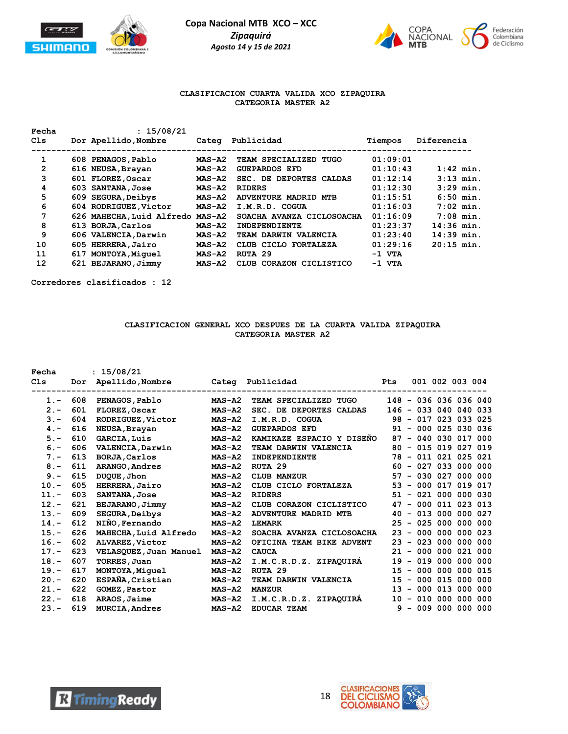



## **CLASIFICACION CUARTA VALIDA XCO ZIPAQUIRA CATEGORIA MASTER A2**

| Fecha        | : 15/08/21                       |           |                            |          |              |
|--------------|----------------------------------|-----------|----------------------------|----------|--------------|
| C1s          | Dor Apellido, Nombre             | Categ     | Publicidad                 | Tiempos  | Diferencia   |
| 1            | 608 PENAGOS, Pablo               | $MAS- A2$ | TEAM SPECIALIZED TUGO      | 01:09:01 |              |
| $\mathbf{2}$ | 616 NEUSA, Brayan                | $MAS- A2$ | <b>GUEPARDOS EFD</b>       | 01:10:43 | $1:42$ min.  |
| 3            | 601 FLOREZ, Oscar                | $MAS- A2$ | SEC. DE DEPORTES CALDAS    | 01:12:14 | $3:13$ min.  |
| 4            | 603 SANTANA, Jose                | $MAS- A2$ | <b>RIDERS</b>              | 01:12:30 | $3:29$ min.  |
| 5            | 609 SEGURA, Deibys               | $MAS- A2$ | ADVENTURE MADRID MTB       | 01:15:51 | $6:50$ min.  |
| 6            | 604 RODRIGUEZ, Victor            | $MAS- A2$ | I.M.R.D. COGUA             | 01:16:03 | $7:02$ min.  |
| 7            | 626 MAHECHA, Luid Alfredo MAS-A2 |           | SOACHA AVANZA CICLOSOACHA  | 01:16:09 | $7:08$ min.  |
| 8            | 613 BORJA, Carlos                | MAS-A2    | INDEPENDIENTE              | 01:23:37 | $14:36$ min. |
| 9            | 606 VALENCIA, Darwin             | MAS-A2    | TEAM DARWIN VALENCIA       | 01:23:40 | $14:39$ min. |
| 10           | 605 HERRERA, Jairo               | $MAS- A2$ | CLUB CICLO FORTALEZA       | 01:29:16 | $20:15$ min. |
| 11           | 617 MONTOYA, Miquel              | $MAS- A2$ | RUTA 29                    | -1 VTA   |              |
| 12           | 621 BEJARANO, Jimmy              | $MAS- A2$ | CORAZON CICLISTICO<br>CLUB | $-1$ VTA |              |

**Corredores clasificados : 12**

### **CLASIFICACION GENERAL XCO DESPUES DE LA CUARTA VALIDA ZIPAQUIRA CATEGORIA MASTER A2**

| Fecha   |     | : 15/08/21             |               |                           |                  |                       |                 |  |
|---------|-----|------------------------|---------------|---------------------------|------------------|-----------------------|-----------------|--|
| Cls     | Dor | Apellido, Nombre       | Categ         | Publicidad                | Pts              | 001 002 003 004       |                 |  |
| $1. -$  | 608 | PENAGOS, Pablo         | $MAS- A2$     | TEAM SPECIALIZED TUGO     |                  | 148 - 036 036 036 040 |                 |  |
| $2 -$   | 601 | FLOREZ, Oscar          | $MAS- A2$     | SEC. DE DEPORTES CALDAS   |                  | 146 - 033 040 040 033 |                 |  |
|         |     |                        |               |                           |                  |                       |                 |  |
| $3 -$   | 604 | RODRIGUEZ, Victor      | $MAS- A2$     | I.M.R.D. COGUA            |                  | 98 - 017 023 033 025  |                 |  |
| $4 -$   | 616 | NEUSA, Brayan          | $MAS- A2$     | <b>GUEPARDOS EFD</b>      |                  | 91 - 000 025 030 036  |                 |  |
| $5. -$  | 610 | <b>GARCIA, Luis</b>    | $MAS- A2$     | KAMIKAZE ESPACIO Y DISENO | 87               | $-040030017000$       |                 |  |
| $6. -$  | 606 | VALENCIA, Darwin       | $MAS- A2$     | TEAM DARWIN VALENCIA      | 80               | $-015019027019$       |                 |  |
| $7 -$   | 613 | BORJA, Carlos          | $MAS- A2$     | <b>INDEPENDIENTE</b>      |                  | 78 - 011 021 025 021  |                 |  |
| $8 -$   | 611 | ARANGO, Andres         | $MAS- A2$     | RUTA 29                   | 60               | $-027033000000$       |                 |  |
| $9 -$   | 615 | DUQUE, Jhon            | $MAS- A2$     | <b>CLUB MANZUR</b>        | 57               | $-030027000000$       |                 |  |
| $10. -$ | 605 | HERRERA, Jairo         | $MAS- A2$     | CLUB CICLO FORTALEZA      | 53               | $-000017019017$       |                 |  |
| $11. -$ | 603 | <b>SANTANA, Jose</b>   | $MAS- A2$     | <b>RIDERS</b>             | 51               | $-021000000030$       |                 |  |
| $12 -$  | 621 | BEJARANO, Jimmy        | $MAS- A2$     | CLUB CORAZON CICLISTICO   | 47               | $-000011023013$       |                 |  |
| $13. -$ | 609 | <b>SEGURA, Deibys</b>  | $MAS- A2$     | ADVENTURE MADRID MTB      | 40               | $-013000000027$       |                 |  |
| $14. -$ | 612 | NIÑO, Fernando         | $MAS- A2$     | <b>LEMARK</b>             |                  | 25 - 025 000 000 000  |                 |  |
| $15. -$ | 626 | MAHECHA, Luid Alfredo  | $MAS- A2$     | SOACHA AVANZA CICLOSOACHA | 23               | $-0000000000023$      |                 |  |
| $16. -$ | 602 | ALVAREZ, Victor        | $MAS- A2$     | OFICINA TEAM BIKE ADVENT  | 23               | $-023000000000$       |                 |  |
| $17. -$ | 623 | VELASQUEZ, Juan Manuel | <b>MAS-A2</b> | <b>CAUCA</b>              |                  | 21 - 000 000 021 000  |                 |  |
| $18. -$ | 607 | TORRES, Juan           | $MAS- A2$     | I.M.C.R.D.Z. ZIPAQUIRA    | 19               | $-019000000000$       |                 |  |
| $19. -$ | 617 | MONTOYA, Miquel        | $MAS- A2$     | RUTA 29                   | 15               | - 000 000 000 015     |                 |  |
| $20 -$  | 620 | ESPAÑA, Cristian       | $MAS- A2$     | TEAM DARWIN VALENCIA      | 15               | $\equiv$              | 000 015 000 000 |  |
| $21. -$ | 622 | GOMEZ, Pastor          | $MAS- A2$     | <b>MANZUR</b>             | 13 <sup>13</sup> | $-000013000000$       |                 |  |
| $22 -$  | 618 | ARAOS, Jaime           | <b>MAS-A2</b> | I.M.C.R.D.Z. ZIPAQUIRA    | 10               | $-010$                | 000 000 000     |  |
| $23 -$  | 619 | <b>MURCIA, Andres</b>  | $MAS- A2$     | <b>EDUCAR TEAM</b>        | 9                | $-009000000000$       |                 |  |
|         |     |                        |               |                           |                  |                       |                 |  |



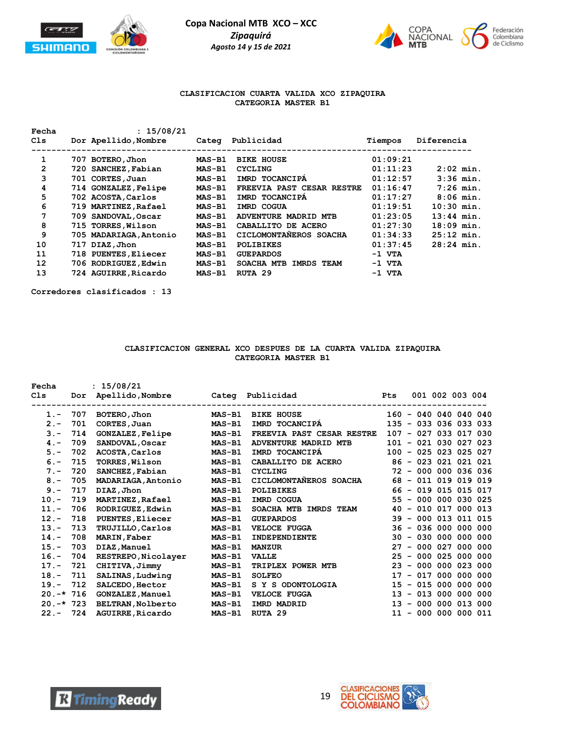



## **CLASIFICACION CUARTA VALIDA XCO ZIPAQUIRA CATEGORIA MASTER B1**

| Fecha<br>Cls | : 15/08/21<br>Dor Apellido, Nombre |               | Categ Publicidad                | Tiempos  | Diferencia   |
|--------------|------------------------------------|---------------|---------------------------------|----------|--------------|
| 1            | 707 BOTERO, Jhon                   | <b>MAS-B1</b> | <b>BIKE HOUSE</b>               | 01:09:21 |              |
| 2            | 720 SANCHEZ, Fabian                | <b>MAS-B1</b> | <b>CYCLING</b>                  | 01:11:23 | $2:02$ min.  |
| 3            | 701 CORTES, Juan                   | <b>MAS-B1</b> | IMRD TOCANCIPA                  | 01:12:57 | $3:36$ min.  |
| 4            | 714 GONZALEZ, Felipe               | <b>MAS-B1</b> | FREEVIA PAST CESAR RESTRE       | 01:16:47 | $7:26$ min.  |
| 5            | 702 ACOSTA, Carlos                 | <b>MAS-B1</b> | IMRD TOCANCIPA                  | 01:17:27 | $8:06$ min.  |
| 6            | 719 MARTINEZ, Rafael               | <b>MAS-B1</b> | IMRD COGUA                      | 01:19:51 | $10:30$ min. |
| 7            | 709 SANDOVAL, Oscar                | <b>MAS-B1</b> | ADVENTURE MADRID MTB            | 01:23:05 | $13:44$ min. |
| 8            | 715 TORRES, Wilson                 | <b>MAS-B1</b> | CABALLITO DE ACERO              | 01:27:30 | $18:09$ min. |
| 9            | 705 MADARIAGA, Antonio             | <b>MAS-B1</b> | CICLOMONTANEROS SOACHA          | 01:34:33 | $25:12$ min. |
| 10           | 717 DIAZ, Jhon                     | <b>MAS-B1</b> | <b>POLIBIKES</b>                | 01:37:45 | $28:24$ min. |
| 11           | 718 PUENTES, Eliecer               | <b>MAS-B1</b> | <b>GUEPARDOS</b>                | $-1$ VTA |              |
| 12           | 706 RODRIGUEZ, Edwin               | <b>MAS-B1</b> | SOACHA MTB<br><b>IMRDS TEAM</b> | $-1$ VTA |              |
| 13           | 724 AGUIRRE, Ricardo               | <b>MAS-B1</b> | RUTA 29                         | $-1$ VTA |              |

**Corredores clasificados : 13**

# **CLASIFICACION GENERAL XCO DESPUES DE LA CUARTA VALIDA ZIPAQUIRA CATEGORIA MASTER B1**

| Fecha<br>Cls | Dor | : 15/08/21<br>Apellido, Nombre |                                    | Categ Publicidad          | Pts    |                        | 001 002 003 004 |  |
|--------------|-----|--------------------------------|------------------------------------|---------------------------|--------|------------------------|-----------------|--|
| $1 -$        | 707 | BOTERO, Jhon                   | -----------------<br><b>MAS-B1</b> | <b>BIKE HOUSE</b>         |        | 160 - 040 040 040 040  |                 |  |
| $2 -$        | 701 | CORTES, Juan                   | $MAS-B1$                           | IMRD TOCANCIPA            |        | 135 - 033 036 033 033  |                 |  |
| $3 -$        | 714 | <b>GONZALEZ, Felipe</b>        | <b>MAS-B1</b>                      | FREEVIA PAST CESAR RESTRE | 107    | $-027033017030$        |                 |  |
| $4. -$       | 709 | SANDOVAL, Oscar                | <b>MAS-B1</b>                      | ADVENTURE MADRID MTB      |        | 101 - 021 030 027 023  |                 |  |
| $5. -$       | 702 | ACOSTA, Carlos                 | $MAS-B1$                           | IMRD TOCANCIPA            |        | 100 - 025 023 025 027  |                 |  |
| $6. -$       | 715 | <b>TORRES, Wilson</b>          | <b>MAS-B1</b>                      | CABALLITO DE ACERO        |        | 86 - 023 021 021 021   |                 |  |
| $7 -$        | 720 | SANCHEZ, Fabian                | $MAS-B1$                           | <b>CYCLING</b>            |        | 72 - 000 000 036 036   |                 |  |
| $8 -$        | 705 | MADARIAGA, Antonio             | <b>MAS-B1</b>                      | CICLOMONTAÑEROS SOACHA    |        | 68 - 011 019 019 019   |                 |  |
| $9 -$        | 717 | DIAZ, Jhon                     | $MAS-B1$                           | <b>POLIBIKES</b>          |        | 66 - 019 015 015 017   |                 |  |
| $10. -$      | 719 | <b>MARTINEZ, Rafael</b>        | <b>MAS-B1</b>                      | IMRD COGUA                |        | 55 - 000 000 030 025   |                 |  |
| $11. -$      | 706 | RODRIGUEZ, Edwin               | $MAS-B1$                           | SOACHA MTB IMRDS TEAM     | 40     | $-010017000013$        |                 |  |
| $12 -$       | 718 | PUENTES, Eliecer               | <b>MAS-B1</b>                      | <b>GUEPARDOS</b>          | 39     | $-000013011015$        |                 |  |
| $13. -$      | 713 | TRUJILLO, Carlos               | <b>MAS-B1</b>                      | <b>VELOCE FUGGA</b>       | 36     | - 036 000 000 000      |                 |  |
| $14. -$      | 708 | <b>MARIN, Faber</b>            | $MAS-B1$                           | INDEPENDIENTE             |        | $30 - 030 000 000 000$ |                 |  |
| $15. -$      | 703 | DIAZ, Manuel                   | <b>MAS-B1</b>                      | <b>MANZUR</b>             | 27     | $-000027$              | 000 000         |  |
| $16. -$      | 704 | RESTREPO, Nicolayer            | MAS-B1                             | <b>VALLE</b>              | $25 -$ | $-0000025000000$       |                 |  |
| $17. -$      | 721 | CHITIVA, Jimmy                 | $MAS-B1$                           | TRIPLEX POWER MTB         | 23     | $-0000000023000$       |                 |  |
| $18. -$      | 711 | SALINAS, Ludwing               | $MAS-B1$                           | <b>SOLFEO</b>             | 17     | $-017000000000$        |                 |  |
| $19. -$      | 712 | SALCEDO, Hector                | MAS-B1                             | S Y S ODONTOLOGIA         | 15     | $-015000000000$        |                 |  |
| $20.-*716$   |     | GONZALEZ, Manuel               | <b>MAS-B1</b>                      | <b>VELOCE FUGGA</b>       | 13     | $-013$                 | 000 000 000     |  |
| $20. -* 723$ |     | <b>BELTRAN, Nolberto</b>       | <b>MAS-B1</b>                      | IMRD MADRID               | 13     | $-000$                 | 000 013 000     |  |
| $22 -$       | 724 | AGUIRRE, Ricardo               | $MAS-B1$                           | RUTA 29                   | 11     | $-000$                 | 000 000 011     |  |



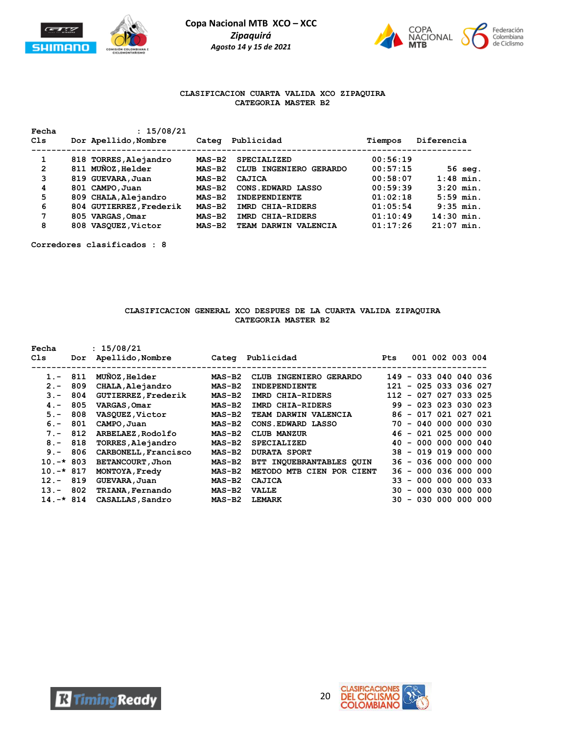



## **CLASIFICACION CUARTA VALIDA XCO ZIPAQUIRA CATEGORIA MASTER B2**

| Fecha<br>C1s | : 15/08/21<br>Dor Apellido, Nombre |                         |          | Publicidad             | Tiempos  | Diferencia   |  |  |
|--------------|------------------------------------|-------------------------|----------|------------------------|----------|--------------|--|--|
|              |                                    |                         | Categ    |                        |          |              |  |  |
| 1            |                                    | 818 TORRES, Alejandro   | $MAS-B2$ | <b>SPECIALIZED</b>     | 00:56:19 |              |  |  |
| $\mathbf{2}$ |                                    | 811 MUNOZ, Helder       | $MAS-B2$ | CLUB INGENIERO GERARDO | 00:57:15 | $56$ seq.    |  |  |
| 3            |                                    | 819 GUEVARA, Juan       | $MAS-B2$ | CAJICA                 | 00:58:07 | $1:48$ min.  |  |  |
| 4            |                                    | 801 CAMPO, Juan         | $MAS-B2$ | CONS. EDWARD LASSO     | 00:59:39 | $3:20$ min.  |  |  |
| 5            |                                    | 809 CHALA, Alejandro    | $MAS-B2$ | INDEPENDIENTE          | 01:02:18 | $5:59$ min.  |  |  |
| 6            |                                    | 804 GUTIERREZ, Frederik | $MAS-B2$ | IMRD CHIA-RIDERS       | 01:05:54 | $9:35$ min.  |  |  |
| 7            |                                    | 805 VARGAS, Omar        | $MAS-B2$ | IMRD CHIA-RIDERS       | 01:10:49 | $14:30$ min. |  |  |
| 8            |                                    | 808 VASQUEZ, Victor     | $MAS-B2$ | TEAM DARWIN VALENCIA   | 01:17:26 | $21:07$ min. |  |  |

**Corredores clasificados : 8**

## **CLASIFICACION GENERAL XCO DESPUES DE LA CUARTA VALIDA ZIPAQUIRA CATEGORIA MASTER B2**

| Fecha        |     | : 15/08/21           |          |                           |            |                       |  |  |
|--------------|-----|----------------------|----------|---------------------------|------------|-----------------------|--|--|
| Cls          | Dor | Apellido, Nombre     |          | Categ Publicidad          | <b>Pts</b> | 001 002 003 004       |  |  |
|              |     |                      |          |                           |            |                       |  |  |
| $1 -$        | 811 | MUNOZ, Helder        | $MAS-B2$ | CLUB INGENIERO GERARDO    |            | 149 - 033 040 040 036 |  |  |
| $2 -$        | 809 | CHALA, Alejandro     | $MAS-B2$ | <b>INDEPENDIENTE</b>      | 121        | $-025033036027$       |  |  |
| $3 -$        | 804 | GUTIERREZ, Frederik  | $MAS-B2$ | IMRD CHIA-RIDERS          |            | 112 - 027 027 033 025 |  |  |
| $4 -$        | 805 | VARGAS, Omar         | $MAS-B2$ | IMRD CHIA-RIDERS          |            | 99 - 023 023 030 023  |  |  |
| $5. -$       | 808 | VASQUEZ, Victor      | $MAS-B2$ | TEAM DARWIN VALENCIA      |            | 86 - 017 021 027 021  |  |  |
| $6 -$        | 801 | CAMPO, Juan          | $MAS-B2$ | CONS. EDWARD LASSO        |            | 70 - 040 000 000 030  |  |  |
| $7 -$        | 812 | ARBELAEZ, Rodolfo    | $MAS-B2$ | <b>CLUB MANZUR</b>        |            | 46 - 021 025 000 000  |  |  |
| $8 -$        | 818 | TORRES, Alejandro    | $MAS-B2$ | <b>SPECIALIZED</b>        |            | 40 - 000 000 000 040  |  |  |
| $9 -$        | 806 | CARBONELL, Francisco | $MAS-B2$ | <b>DURATA SPORT</b>       |            | 38 - 019 019 000 000  |  |  |
| $10.-*803$   |     | BETANCOURT, Jhon     | $MAS-B2$ | BTT INOUEBRANTABLES OUIN  |            | 36 - 036 000 000 000  |  |  |
| $10.-*817$   |     | MONTOYA, Fredy       | $MAS-B2$ | METODO MTB CIEN POR CIENT |            | 36 - 000 036 000 000  |  |  |
| $12 -$       | 819 | GUEVARA, Juan        | $MAS-B2$ | CAJICA                    | 33.        | - 000 000 000 033     |  |  |
| $13 -$       | 802 | TRIANA, Fernando     | $MAS-B2$ | <b>VALLE</b>              | 30.        | - 000 030 000 000     |  |  |
| $14. -* 814$ |     | CASALLAS, Sandro     | $MAS-B2$ | <b>LEMARK</b>             | 30.        | - 030 000 000 000     |  |  |



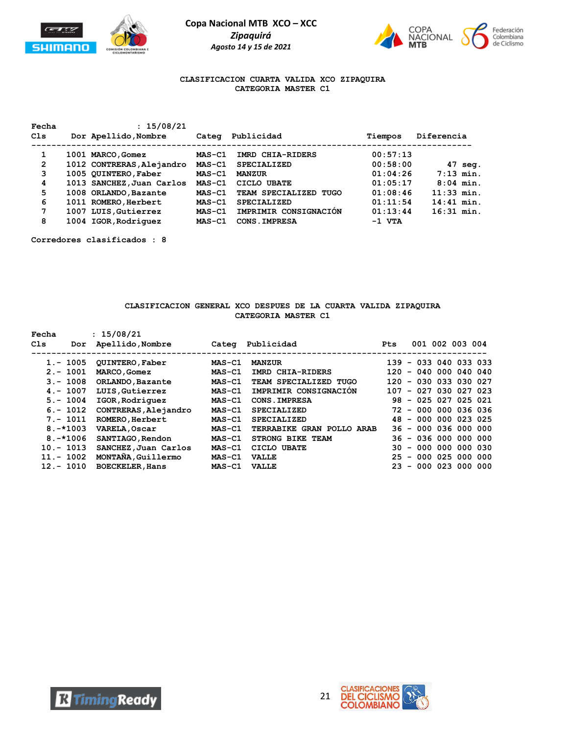



### **CLASIFICACION CUARTA VALIDA XCO ZIPAQUIRA CATEGORIA MASTER C1**

| Fecha          | : 15/08/21                |               |                       |          |              |
|----------------|---------------------------|---------------|-----------------------|----------|--------------|
| Cls            | Dor Apellido, Nombre      | Categ         | Publicidad            | Tiempos  | Diferencia   |
| 1              | 1001 MARCO, Gomez         | <b>MAS-C1</b> | IMRD CHIA-RIDERS      | 00:57:13 |              |
| $\overline{2}$ | 1012 CONTRERAS, Alejandro | $MAS-C1$      | <b>SPECIALIZED</b>    | 00:58:00 | 47 seg.      |
| 3              | 1005 QUINTERO, Faber      | $MAS-C1$      | <b>MANZUR</b>         | 01:04:26 | $7:13$ min.  |
| 4              | 1013 SANCHEZ, Juan Carlos | MAS-C1        | CICLO UBATE           | 01:05:17 | $8:04$ min.  |
| 5.             | 1008 ORLANDO, Bazante     | $MAS-C1$      | TEAM SPECIALIZED TUGO | 01:08:46 | $11:33$ min. |
| 6              | 1011 ROMERO, Herbert      | $MAS-Cl$      | <b>SPECIALIZED</b>    | 01:11:54 | $14:41$ min. |
| 7              | 1007 LUIS, Gutierrez      | $MAS-C1$      | IMPRIMIR CONSIGNACIÓN | 01:13:44 | $16:31$ min. |
| 8              | 1004 IGOR, Rodriquez      | $MAS-C1$      | CONS. IMPRESA         | $-1$ VTA |              |

**Corredores clasificados : 8**

#### **CLASIFICACION GENERAL XCO DESPUES DE LA CUARTA VALIDA ZIPAQUIRA CATEGORIA MASTER C1**

| Fecha<br>Cls | Dor          | : 15/08/21<br>Apellido, Nombre | Categ    | Publicidad                | <b>Pts</b> | 001 002 003 004          |                 |  |
|--------------|--------------|--------------------------------|----------|---------------------------|------------|--------------------------|-----------------|--|
|              | $1.-1005$    | <b>QUINTERO, Faber</b>         | MAS-C1   | <b>MANZUR</b>             |            | 139 - 033 040 033 033    |                 |  |
|              | $2. - 1001$  | MARCO, Gomez                   | $MAS-C1$ | IMRD CHIA-RIDERS          | 120        | $-040000040040$          |                 |  |
|              | $3 - 1008$   | ORLANDO, Bazante               | $MAS-C1$ | TEAM SPECIALIZED TUGO     | 120        | - 030 033 030 027        |                 |  |
|              | $4 - 1007$   | LUIS, Gutierrez                | $MAS-C1$ | IMPRIMIR CONSIGNACION     | 107        | - 027 030 027 023        |                 |  |
|              | $5. - 1004$  | IGOR, Rodriquez                | $MAS-C1$ | CONS. IMPRESA             | 98.        | - 025 027 025 021        |                 |  |
|              | $6. - 1012$  | CONTRERAS, Alejandro           | $MAS-C1$ | <b>SPECIALIZED</b>        | 72         | $-0000000036036$         |                 |  |
|              | $7. - 1011$  | ROMERO, Herbert                | $MAS-C1$ | <b>SPECIALIZED</b>        |            | 48 - 000 000 023 025     |                 |  |
|              | $8. -*1003$  | VARELA, Oscar                  | $MAS-C1$ | TERRABIKE GRAN POLLO ARAB |            | 36 - 000 036 000 000     |                 |  |
|              | $8. -*1006$  | SANTIAGO, Rendon               | $MAS-C1$ | <b>STRONG BIKE TEAM</b>   |            | 36 - 036 000 000 000     |                 |  |
|              | $10 - 1013$  | SANCHEZ, Juan Carlos           | $MAS-C1$ | CICLO UBATE               | 30.        | $-000000000030$          |                 |  |
|              | $11. - 1002$ | MONTANA, Guillermo             | $MAS-C1$ | <b>VALLE</b>              | 25         | $-0000025000000$         |                 |  |
|              | $12 - 1010$  | <b>BOECKELER, Hans</b>         | $MAS-C1$ | <b>VALLE</b>              | 23.        | $\overline{\phantom{a}}$ | 000 023 000 000 |  |